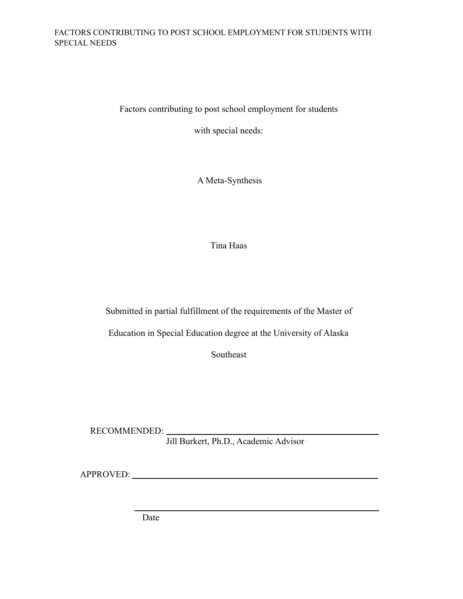Factors contributing to post school employment for students

with special needs:

A Meta-Synthesis

Tina Haas

Submitted in partial fulfillment of the requirements of the Master of

Education in Special Education degree at the University of Alaska

Southeast

RECOMMENDED:

Jill Burkert, Ph.D., Academic Advisor

APPROVED:

Date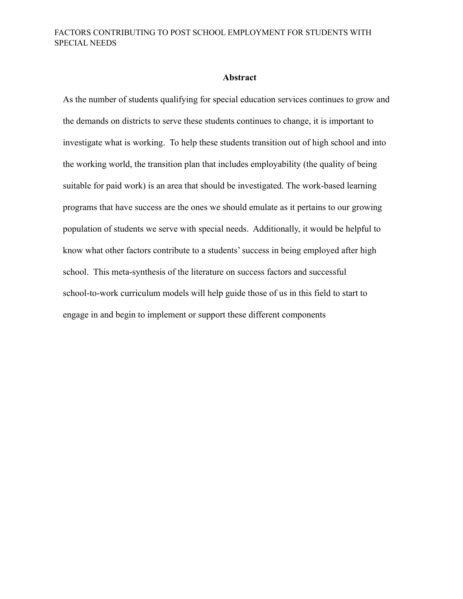#### **Abstract**

As the number of students qualifying for special education services continues to grow and the demands on districts to serve these students continues to change, it is important to investigate what is working. To help these students transition out of high school and into the working world, the transition plan that includes employability (the quality of being suitable for paid work) is an area that should be investigated. The work-based learning programs that have success are the ones we should emulate as it pertains to our growing population of students we serve with special needs. Additionally, it would be helpful to know what other factors contribute to a students' success in being employed after high school. This meta-synthesis of the literature on success factors and successful school-to-work curriculum models will help guide those of us in this field to start to engage in and begin to implement or support these different components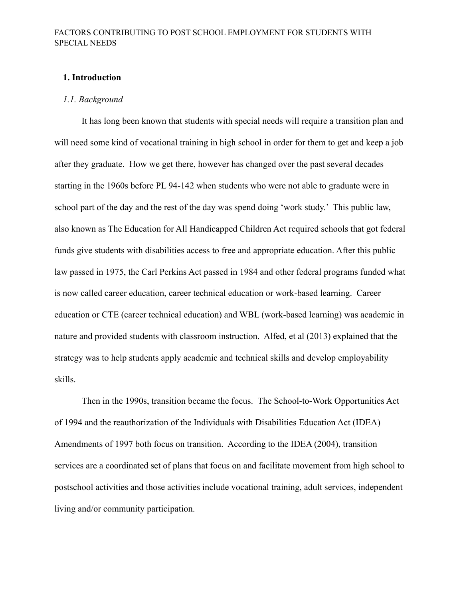#### **1. Introduction**

#### *1.1. Background*

It has long been known that students with special needs will require a transition plan and will need some kind of vocational training in high school in order for them to get and keep a job after they graduate. How we get there, however has changed over the past several decades starting in the 1960s before PL 94-142 when students who were not able to graduate were in school part of the day and the rest of the day was spend doing 'work study.' This public law, also known as The Education for All Handicapped Children Act required schools that got federal funds give students with disabilities access to free and appropriate education. After this public law passed in 1975, the Carl Perkins Act passed in 1984 and other federal programs funded what is now called career education, career technical education or work-based learning. Career education or CTE (career technical education) and WBL (work-based learning) was academic in nature and provided students with classroom instruction. Alfed, et al (2013) explained that the strategy was to help students apply academic and technical skills and develop employability skills.

Then in the 1990s, transition became the focus. The School-to-Work Opportunities Act of 1994 and the reauthorization of the Individuals with Disabilities Education Act (IDEA) Amendments of 1997 both focus on transition. According to the IDEA (2004), transition services are a coordinated set of plans that focus on and facilitate movement from high school to postschool activities and those activities include vocational training, adult services, independent living and/or community participation.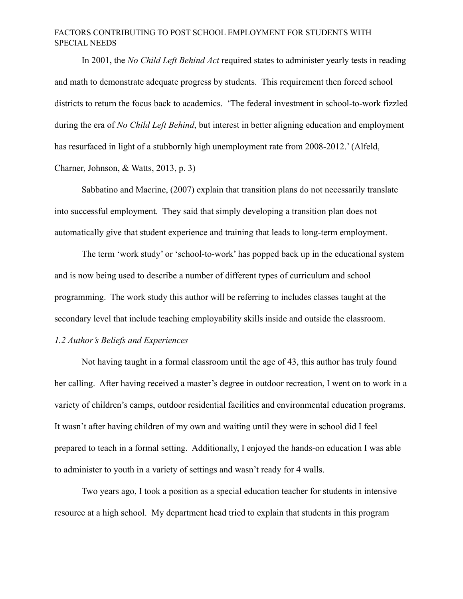In 2001, the *No Child Left Behind Act* required states to administer yearly tests in reading and math to demonstrate adequate progress by students. This requirement then forced school districts to return the focus back to academics. 'The federal investment in school-to-work fizzled during the era of *No Child Left Behind*, but interest in better aligning education and employment has resurfaced in light of a stubbornly high unemployment rate from 2008-2012.' (Alfeld, Charner, Johnson, & Watts, 2013, p. 3)

Sabbatino and Macrine, (2007) explain that transition plans do not necessarily translate into successful employment. They said that simply developing a transition plan does not automatically give that student experience and training that leads to long-term employment.

The term 'work study' or 'school-to-work' has popped back up in the educational system and is now being used to describe a number of different types of curriculum and school programming. The work study this author will be referring to includes classes taught at the secondary level that include teaching employability skills inside and outside the classroom.

## *1.2 Author's Beliefs and Experiences*

Not having taught in a formal classroom until the age of 43, this author has truly found her calling. After having received a master's degree in outdoor recreation, I went on to work in a variety of children's camps, outdoor residential facilities and environmental education programs. It wasn't after having children of my own and waiting until they were in school did I feel prepared to teach in a formal setting. Additionally, I enjoyed the hands-on education I was able to administer to youth in a variety of settings and wasn't ready for 4 walls.

Two years ago, I took a position as a special education teacher for students in intensive resource at a high school. My department head tried to explain that students in this program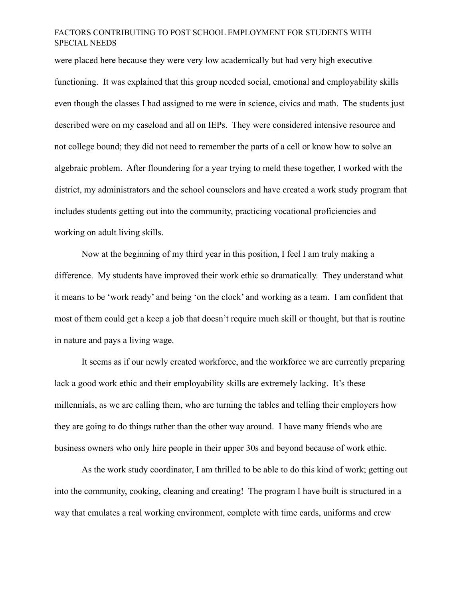were placed here because they were very low academically but had very high executive functioning. It was explained that this group needed social, emotional and employability skills even though the classes I had assigned to me were in science, civics and math. The students just described were on my caseload and all on IEPs. They were considered intensive resource and not college bound; they did not need to remember the parts of a cell or know how to solve an algebraic problem. After floundering for a year trying to meld these together, I worked with the district, my administrators and the school counselors and have created a work study program that includes students getting out into the community, practicing vocational proficiencies and working on adult living skills.

Now at the beginning of my third year in this position, I feel I am truly making a difference. My students have improved their work ethic so dramatically. They understand what it means to be 'work ready' and being 'on the clock' and working as a team. I am confident that most of them could get a keep a job that doesn't require much skill or thought, but that is routine in nature and pays a living wage.

It seems as if our newly created workforce, and the workforce we are currently preparing lack a good work ethic and their employability skills are extremely lacking. It's these millennials, as we are calling them, who are turning the tables and telling their employers how they are going to do things rather than the other way around. I have many friends who are business owners who only hire people in their upper 30s and beyond because of work ethic.

As the work study coordinator, I am thrilled to be able to do this kind of work; getting out into the community, cooking, cleaning and creating! The program I have built is structured in a way that emulates a real working environment, complete with time cards, uniforms and crew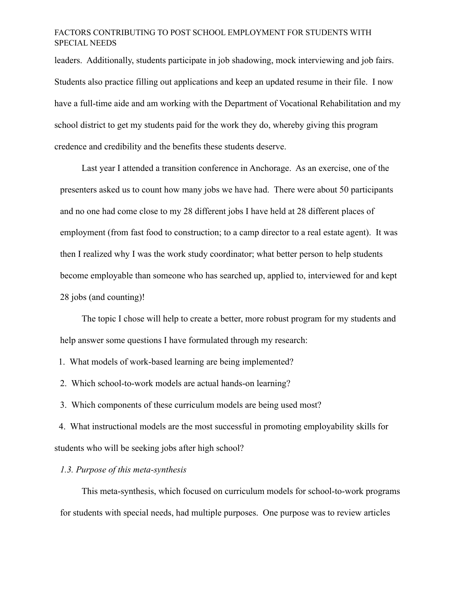leaders. Additionally, students participate in job shadowing, mock interviewing and job fairs. Students also practice filling out applications and keep an updated resume in their file. I now have a full-time aide and am working with the Department of Vocational Rehabilitation and my school district to get my students paid for the work they do, whereby giving this program credence and credibility and the benefits these students deserve.

Last year I attended a transition conference in Anchorage. As an exercise, one of the presenters asked us to count how many jobs we have had. There were about 50 participants and no one had come close to my 28 different jobs I have held at 28 different places of employment (from fast food to construction; to a camp director to a real estate agent). It was then I realized why I was the work study coordinator; what better person to help students become employable than someone who has searched up, applied to, interviewed for and kept 28 jobs (and counting)!

The topic I chose will help to create a better, more robust program for my students and help answer some questions I have formulated through my research:

1. What models of work-based learning are being implemented?

2. Which school-to-work models are actual hands-on learning?

3. Which components of these curriculum models are being used most?

4. What instructional models are the most successful in promoting employability skills for students who will be seeking jobs after high school?

#### *1.3. Purpose of this meta-synthesis*

This meta-synthesis, which focused on curriculum models for school-to-work programs for students with special needs, had multiple purposes. One purpose was to review articles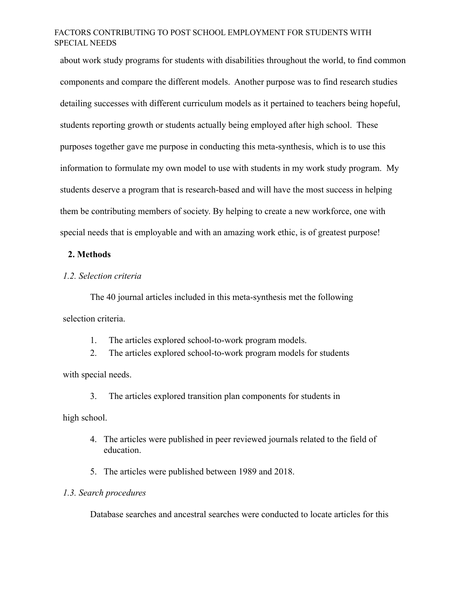about work study programs for students with disabilities throughout the world, to find common components and compare the different models. Another purpose was to find research studies detailing successes with different curriculum models as it pertained to teachers being hopeful, students reporting growth or students actually being employed after high school. These purposes together gave me purpose in conducting this meta-synthesis, which is to use this information to formulate my own model to use with students in my work study program. My students deserve a program that is research-based and will have the most success in helping them be contributing members of society. By helping to create a new workforce, one with special needs that is employable and with an amazing work ethic, is of greatest purpose!

#### **2. Methods**

#### *1.2. Selection criteria*

The 40 journal articles included in this meta-synthesis met the following selection criteria.

- 1. The articles explored school-to-work program models.
- 2. The articles explored school-to-work program models for students

with special needs.

3. The articles explored transition plan components for students in

high school.

- 4. The articles were published in peer reviewed journals related to the field of education.
- 5. The articles were published between 1989 and 2018.

## *1.3. Search procedures*

Database searches and ancestral searches were conducted to locate articles for this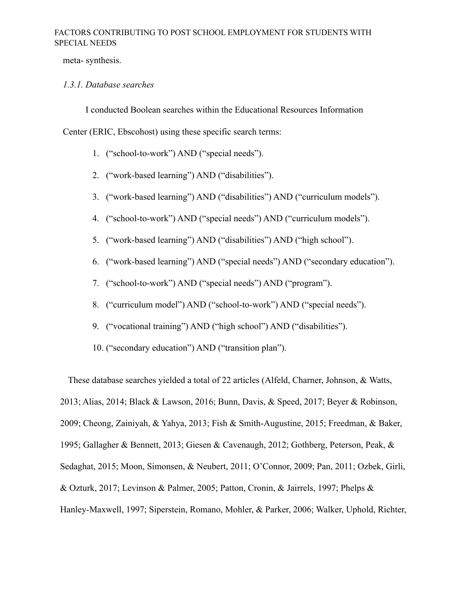meta- synthesis.

#### *1.3.1. Database searches*

I conducted Boolean searches within the Educational Resources Information

Center (ERIC, Ebscohost) using these specific search terms:

- 1. ("school-to-work") AND ("special needs").
- 2. ("work-based learning") AND ("disabilities").
- 3. ("work-based learning") AND ("disabilities") AND ("curriculum models").
- 4. ("school-to-work") AND ("special needs") AND ("curriculum models").
- 5. ("work-based learning") AND ("disabilities") AND ("high school").
- 6. ("work-based learning") AND ("special needs") AND ("secondary education").
- 7. ("school-to-work") AND ("special needs") AND ("program").
- 8. ("curriculum model") AND ("school-to-work") AND ("special needs").
- 9. ("vocational training") AND ("high school") AND ("disabilities").
- 10. ("secondary education") AND ("transition plan").

These database searches yielded a total of 22 articles (Alfeld, Charner, Johnson, & Watts, 2013; Alias, 2014; Black & Lawson, 2016; Bunn, Davis, & Speed, 2017; Beyer & Robinson, 2009; Cheong, Zainiyah, & Yahya, 2013; Fish & Smith-Augustine, 2015; Freedman, & Baker, 1995; Gallagher & Bennett, 2013; Giesen & Cavenaugh, 2012; Gothberg, Peterson, Peak, & Sedaghat, 2015; Moon, Simonsen, & Neubert, 2011; O'Connor, 2009; Pan, 2011; Ozbek, Girli, & Ozturk, 2017; Levinson & Palmer, 2005; Patton, Cronin, & Jairrels, 1997; Phelps & Hanley-Maxwell, 1997; Siperstein, Romano, Mohler, & Parker, 2006; Walker, Uphold, Richter,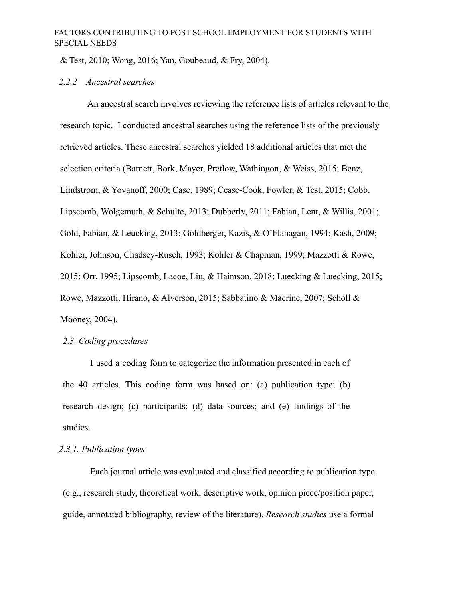& Test, 2010; Wong, 2016; Yan, Goubeaud, & Fry, 2004).

#### *2.2.2 Ancestral searches*

An ancestral search involves reviewing the reference lists of articles relevant to the research topic. I conducted ancestral searches using the reference lists of the previously retrieved articles. These ancestral searches yielded 18 additional articles that met the selection criteria (Barnett, Bork, Mayer, Pretlow, Wathingon, & Weiss, 2015; Benz, Lindstrom, & Yovanoff, 2000; Case, 1989; Cease-Cook, Fowler, & Test, 2015; Cobb, Lipscomb, Wolgemuth, & Schulte, 2013; Dubberly, 2011; Fabian, Lent, & Willis, 2001; Gold, Fabian, & Leucking, 2013; Goldberger, Kazis, & O'Flanagan, 1994; Kash, 2009; Kohler, Johnson, Chadsey-Rusch, 1993; Kohler & Chapman, 1999; Mazzotti & Rowe, 2015; Orr, 1995; Lipscomb, Lacoe, Liu, & Haimson, 2018; Luecking & Luecking, 2015; Rowe, Mazzotti, Hirano, & Alverson, 2015; Sabbatino & Macrine, 2007; Scholl & Mooney, 2004).

#### *2.3. Coding procedures*

I used a coding form to categorize the information presented in each of the 40 articles. This coding form was based on: (a) publication type; (b) research design; (c) participants; (d) data sources; and (e) findings of the studies.

#### *2.3.1. Publication types*

Each journal article was evaluated and classified according to publication type (e.g., research study, theoretical work, descriptive work, opinion piece/position paper, guide, annotated bibliography, review of the literature). *Research studies* use a formal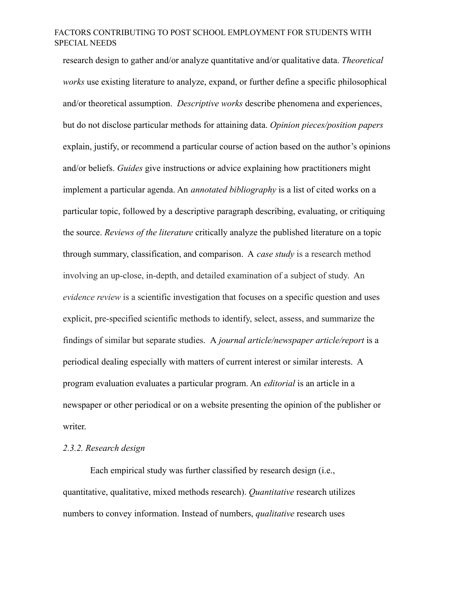research design to gather and/or analyze quantitative and/or qualitative data. *Theoretical works* use existing literature to analyze, expand, or further define a specific philosophical and/or theoretical assumption. *Descriptive works* describe phenomena and experiences, but do not disclose particular methods for attaining data. *Opinion pieces/position papers* explain, justify, or recommend a particular course of action based on the author's opinions and/or beliefs. *Guides* give instructions or advice explaining how practitioners might implement a particular agenda. An *annotated bibliography* is a list of cited works on a particular topic, followed by a descriptive paragraph describing, evaluating, or critiquing the source. *Reviews of the literature* critically analyze the published literature on a topic through summary, classification, and comparison. A *case study* is a research method involving an up-close, in-depth, and detailed examination of a subject of study. An *evidence review* is a scientific investigation that focuses on a specific question and uses explicit, pre-specified scientific methods to identify, select, assess, and summarize the findings of similar but separate studies. A *journal article/newspaper article/report* is a periodical dealing especially with matters of current interest or similar interests. A program evaluation evaluates a particular program. An *editorial* is an article in a newspaper or other periodical or on a website presenting the opinion of the publisher or writer.

#### *2.3.2. Research design*

Each empirical study was further classified by research design (i.e., quantitative, qualitative, mixed methods research). *Quantitative* research utilizes numbers to convey information. Instead of numbers, *qualitative* research uses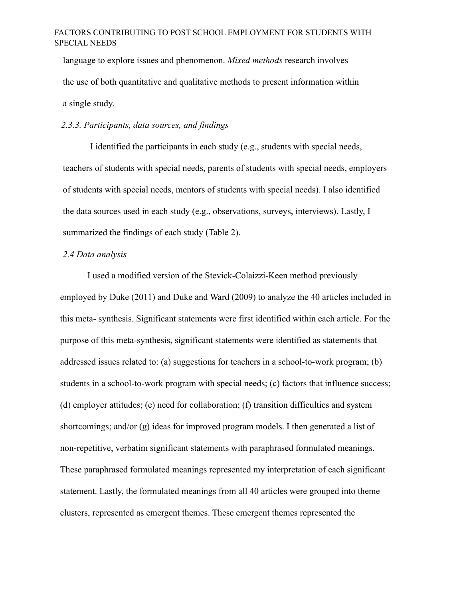language to explore issues and phenomenon. *Mixed methods* research involves the use of both quantitative and qualitative methods to present information within a single study.

## *2.3.3. Participants, data sources, and findings*

I identified the participants in each study (e.g., students with special needs, teachers of students with special needs, parents of students with special needs, employers of students with special needs, mentors of students with special needs). I also identified the data sources used in each study (e.g., observations, surveys, interviews). Lastly, I summarized the findings of each study (Table 2).

#### *2.4 Data analysis*

I used a modified version of the Stevick-Colaizzi-Keen method previously employed by Duke (2011) and Duke and Ward (2009) to analyze the 40 articles included in this meta- synthesis. Significant statements were first identified within each article. For the purpose of this meta-synthesis, significant statements were identified as statements that addressed issues related to: (a) suggestions for teachers in a school-to-work program; (b) students in a school-to-work program with special needs; (c) factors that influence success; (d) employer attitudes; (e) need for collaboration; (f) transition difficulties and system shortcomings; and/or (g) ideas for improved program models. I then generated a list of non-repetitive, verbatim significant statements with paraphrased formulated meanings. These paraphrased formulated meanings represented my interpretation of each significant statement. Lastly, the formulated meanings from all 40 articles were grouped into theme clusters, represented as emergent themes. These emergent themes represented the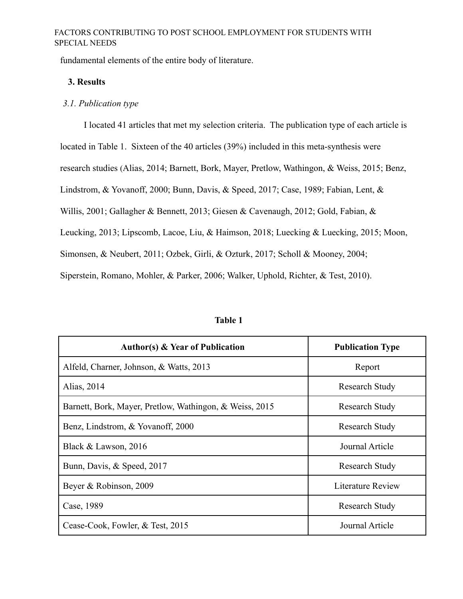fundamental elements of the entire body of literature.

#### **3. Results**

#### *3.1. Publication type*

I located 41 articles that met my selection criteria. The publication type of each article is located in Table 1. Sixteen of the 40 articles (39%) included in this meta-synthesis were research studies (Alias, 2014; Barnett, Bork, Mayer, Pretlow, Wathingon, & Weiss, 2015; Benz, Lindstrom, & Yovanoff, 2000; Bunn, Davis, & Speed, 2017; Case, 1989; Fabian, Lent, & Willis, 2001; Gallagher & Bennett, 2013; Giesen & Cavenaugh, 2012; Gold, Fabian, & Leucking, 2013; Lipscomb, Lacoe, Liu, & Haimson, 2018; Luecking & Luecking, 2015; Moon, Simonsen, & Neubert, 2011; Ozbek, Girli, & Ozturk, 2017; Scholl & Mooney, 2004; Siperstein, Romano, Mohler, & Parker, 2006; Walker, Uphold, Richter, & Test, 2010).

| <b>Author(s) &amp; Year of Publication</b>              | <b>Publication Type</b> |
|---------------------------------------------------------|-------------------------|
| Alfeld, Charner, Johnson, & Watts, 2013                 | Report                  |
| Alias, 2014                                             | Research Study          |
| Barnett, Bork, Mayer, Pretlow, Wathingon, & Weiss, 2015 | Research Study          |
| Benz, Lindstrom, & Yovanoff, 2000                       | Research Study          |
| Black & Lawson, 2016                                    | Journal Article         |
| Bunn, Davis, & Speed, 2017                              | <b>Research Study</b>   |
| Beyer & Robinson, 2009                                  | Literature Review       |
| Case, 1989                                              | Research Study          |
| Cease-Cook, Fowler, & Test, 2015                        | Journal Article         |

#### **Table 1**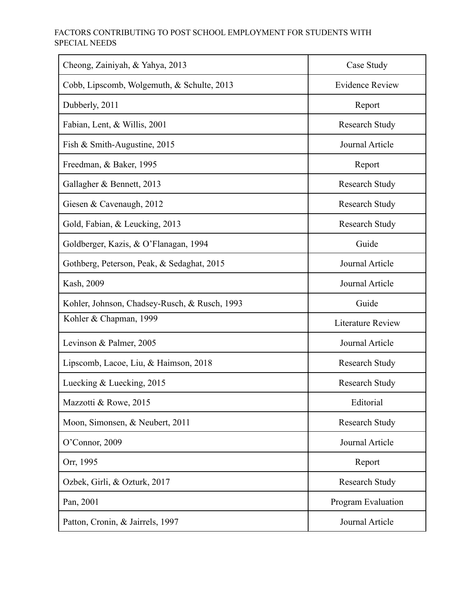| Cheong, Zainiyah, & Yahya, 2013               | Case Study               |
|-----------------------------------------------|--------------------------|
| Cobb, Lipscomb, Wolgemuth, & Schulte, 2013    | <b>Evidence Review</b>   |
| Dubberly, 2011                                | Report                   |
| Fabian, Lent, & Willis, 2001                  | <b>Research Study</b>    |
| Fish & Smith-Augustine, 2015                  | Journal Article          |
| Freedman, & Baker, 1995                       | Report                   |
| Gallagher & Bennett, 2013                     | <b>Research Study</b>    |
| Giesen & Cavenaugh, 2012                      | Research Study           |
| Gold, Fabian, & Leucking, 2013                | <b>Research Study</b>    |
| Goldberger, Kazis, & O'Flanagan, 1994         | Guide                    |
| Gothberg, Peterson, Peak, & Sedaghat, 2015    | <b>Journal Article</b>   |
| Kash, 2009                                    | Journal Article          |
| Kohler, Johnson, Chadsey-Rusch, & Rusch, 1993 | Guide                    |
| Kohler & Chapman, 1999                        | <b>Literature Review</b> |
| Levinson & Palmer, 2005                       | Journal Article          |
| Lipscomb, Lacoe, Liu, & Haimson, 2018         | <b>Research Study</b>    |
| Luecking & Luecking, 2015                     | <b>Research Study</b>    |
| Mazzotti & Rowe, 2015                         | Editorial                |
| Moon, Simonsen, & Neubert, 2011               | Research Study           |
| O'Connor, 2009                                | Journal Article          |
| Orr, 1995                                     | Report                   |
| Ozbek, Girli, & Ozturk, 2017                  | <b>Research Study</b>    |
| Pan, 2001                                     | Program Evaluation       |
| Patton, Cronin, & Jairrels, 1997              | Journal Article          |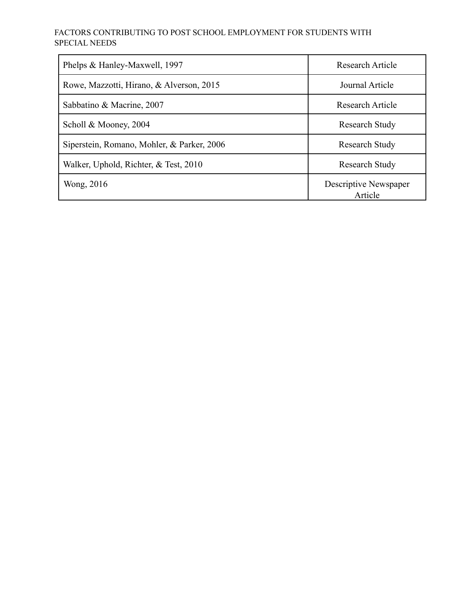| Phelps & Hanley-Maxwell, 1997              | <b>Research Article</b>          |
|--------------------------------------------|----------------------------------|
| Rowe, Mazzotti, Hirano, & Alverson, 2015   | Journal Article                  |
| Sabbatino & Macrine, 2007                  | <b>Research Article</b>          |
| Scholl & Mooney, 2004                      | <b>Research Study</b>            |
| Siperstein, Romano, Mohler, & Parker, 2006 | <b>Research Study</b>            |
| Walker, Uphold, Richter, & Test, 2010      | <b>Research Study</b>            |
| Wong, 2016                                 | Descriptive Newspaper<br>Article |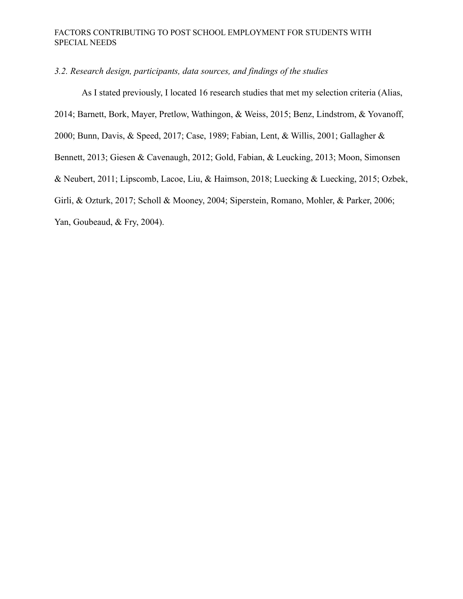## *3.2. Research design, participants, data sources, and findings of the studies*

As I stated previously, I located 16 research studies that met my selection criteria (Alias, 2014; Barnett, Bork, Mayer, Pretlow, Wathingon, & Weiss, 2015; Benz, Lindstrom, & Yovanoff, 2000; Bunn, Davis, & Speed, 2017; Case, 1989; Fabian, Lent, & Willis, 2001; Gallagher & Bennett, 2013; Giesen & Cavenaugh, 2012; Gold, Fabian, & Leucking, 2013; Moon, Simonsen & Neubert, 2011; Lipscomb, Lacoe, Liu, & Haimson, 2018; Luecking & Luecking, 2015; Ozbek, Girli, & Ozturk, 2017; Scholl & Mooney, 2004; Siperstein, Romano, Mohler, & Parker, 2006; Yan, Goubeaud, & Fry, 2004).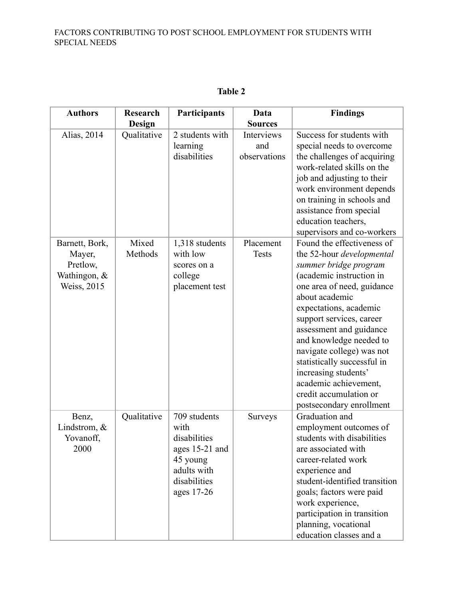| <b>Authors</b>                                                      | <b>Research</b>  | Participants                                                                                                    | Data                              | <b>Findings</b>                                                                                                                                                                                                                                                                                                                                                                                                                             |
|---------------------------------------------------------------------|------------------|-----------------------------------------------------------------------------------------------------------------|-----------------------------------|---------------------------------------------------------------------------------------------------------------------------------------------------------------------------------------------------------------------------------------------------------------------------------------------------------------------------------------------------------------------------------------------------------------------------------------------|
|                                                                     | Design           |                                                                                                                 | <b>Sources</b>                    |                                                                                                                                                                                                                                                                                                                                                                                                                                             |
| Alias, 2014                                                         | Qualitative      | 2 students with<br>learning<br>disabilities                                                                     | Interviews<br>and<br>observations | Success for students with<br>special needs to overcome<br>the challenges of acquiring<br>work-related skills on the<br>job and adjusting to their<br>work environment depends<br>on training in schools and<br>assistance from special<br>education teachers,<br>supervisors and co-workers                                                                                                                                                 |
| Barnett, Bork,<br>Mayer,<br>Pretlow,<br>Wathingon, &<br>Weiss, 2015 | Mixed<br>Methods | 1,318 students<br>with low<br>scores on a<br>college<br>placement test                                          | Placement<br><b>Tests</b>         | Found the effectiveness of<br>the 52-hour developmental<br>summer bridge program<br>(academic instruction in<br>one area of need, guidance<br>about academic<br>expectations, academic<br>support services, career<br>assessment and guidance<br>and knowledge needed to<br>navigate college) was not<br>statistically successful in<br>increasing students'<br>academic achievement,<br>credit accumulation or<br>postsecondary enrollment |
| Benz,<br>Lindstrom, $\&$<br>Yovanoff,<br>2000                       | Qualitative      | 709 students<br>with<br>disabilities<br>ages 15-21 and<br>45 young<br>adults with<br>disabilities<br>ages 17-26 | <b>Surveys</b>                    | Graduation and<br>employment outcomes of<br>students with disabilities<br>are associated with<br>career-related work<br>experience and<br>student-identified transition<br>goals; factors were paid<br>work experience,<br>participation in transition<br>planning, vocational<br>education classes and a                                                                                                                                   |

# **Table 2**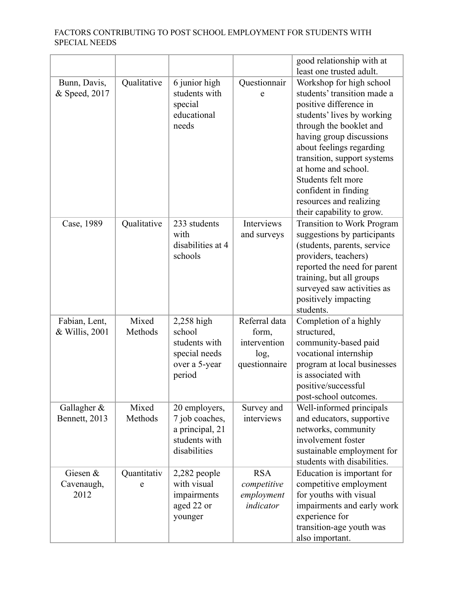|                                 |                  |                                                                                     |                                                                 | good relationship with at                                                                                                                                                                                                                                                                                                                                      |
|---------------------------------|------------------|-------------------------------------------------------------------------------------|-----------------------------------------------------------------|----------------------------------------------------------------------------------------------------------------------------------------------------------------------------------------------------------------------------------------------------------------------------------------------------------------------------------------------------------------|
|                                 |                  |                                                                                     |                                                                 | least one trusted adult.                                                                                                                                                                                                                                                                                                                                       |
| Bunn, Davis,<br>& Speed, 2017   | Qualitative      | 6 junior high<br>students with<br>special<br>educational<br>needs                   | Questionnair<br>e                                               | Workshop for high school<br>students' transition made a<br>positive difference in<br>students' lives by working<br>through the booklet and<br>having group discussions<br>about feelings regarding<br>transition, support systems<br>at home and school.<br>Students felt more<br>confident in finding<br>resources and realizing<br>their capability to grow. |
| Case, 1989                      | Qualitative      | 233 students<br>with<br>disabilities at 4<br>schools                                | Interviews<br>and surveys                                       | <b>Transition to Work Program</b><br>suggestions by participants<br>(students, parents, service<br>providers, teachers)<br>reported the need for parent<br>training, but all groups<br>surveyed saw activities as<br>positively impacting<br>students.                                                                                                         |
| Fabian, Lent,<br>& Willis, 2001 | Mixed<br>Methods | 2,258 high<br>school<br>students with<br>special needs<br>over a 5-year<br>period   | Referral data<br>form,<br>intervention<br>log,<br>questionnaire | Completion of a highly<br>structured,<br>community-based paid<br>vocational internship<br>program at local businesses<br>is associated with<br>positive/successful<br>post-school outcomes.                                                                                                                                                                    |
| Gallagher &<br>Bennett, 2013    | Mixed<br>Methods | 20 employers,<br>7 job coaches,<br>a principal, 21<br>students with<br>disabilities | Survey and<br>interviews                                        | Well-informed principals<br>and educators, supportive<br>networks, community<br>involvement foster<br>sustainable employment for<br>students with disabilities.                                                                                                                                                                                                |
| Giesen &<br>Cavenaugh,<br>2012  | Quantitativ<br>e | $2,282$ people<br>with visual<br>impairments<br>aged 22 or<br>younger               | <b>RSA</b><br>competitive<br>employment<br>indicator            | Education is important for<br>competitive employment<br>for youths with visual<br>impairments and early work<br>experience for<br>transition-age youth was<br>also important.                                                                                                                                                                                  |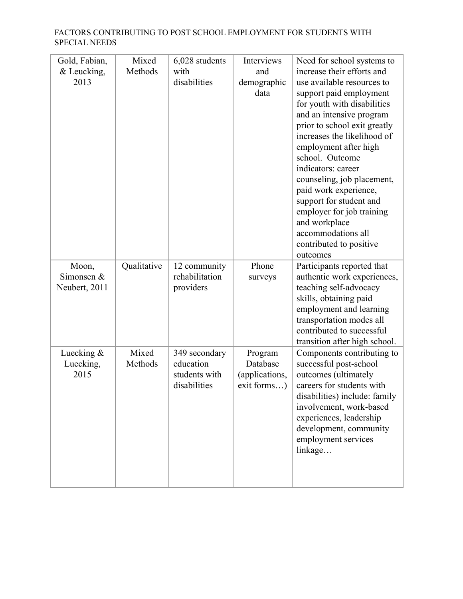| Gold, Fabian,       | Mixed       | 6,028 students                 | Interviews     | Need for school systems to                       |
|---------------------|-------------|--------------------------------|----------------|--------------------------------------------------|
| & Leucking,         | Methods     | with                           | and            | increase their efforts and                       |
| 2013                |             | disabilities                   | demographic    | use available resources to                       |
|                     |             |                                | data           | support paid employment                          |
|                     |             |                                |                | for youth with disabilities                      |
|                     |             |                                |                | and an intensive program                         |
|                     |             |                                |                | prior to school exit greatly                     |
|                     |             |                                |                | increases the likelihood of                      |
|                     |             |                                |                | employment after high                            |
|                     |             |                                |                | school. Outcome                                  |
|                     |             |                                |                | indicators: career                               |
|                     |             |                                |                | counseling, job placement,                       |
|                     |             |                                |                | paid work experience,                            |
|                     |             |                                |                | support for student and                          |
|                     |             |                                |                | employer for job training                        |
|                     |             |                                |                | and workplace                                    |
|                     |             |                                |                | accommodations all                               |
|                     |             |                                |                | contributed to positive                          |
|                     |             |                                |                | outcomes                                         |
| Moon,<br>Simonsen & | Qualitative | 12 community<br>rehabilitation | Phone          | Participants reported that                       |
| Neubert, 2011       |             |                                | surveys        | authentic work experiences,                      |
|                     |             | providers                      |                | teaching self-advocacy<br>skills, obtaining paid |
|                     |             |                                |                | employment and learning                          |
|                     |             |                                |                | transportation modes all                         |
|                     |             |                                |                | contributed to successful                        |
|                     |             |                                |                | transition after high school.                    |
| Luecking $\&$       | Mixed       | 349 secondary                  | Program        | Components contributing to                       |
| Luecking,           | Methods     | education                      | Database       | successful post-school                           |
| 2015                |             | students with                  | (applications, | outcomes (ultimately                             |
|                     |             | disabilities                   | exit forms)    | careers for students with                        |
|                     |             |                                |                | disabilities) include: family                    |
|                     |             |                                |                | involvement, work-based                          |
|                     |             |                                |                | experiences, leadership                          |
|                     |             |                                |                | development, community                           |
|                     |             |                                |                | employment services                              |
|                     |             |                                |                | linkage                                          |
|                     |             |                                |                |                                                  |
|                     |             |                                |                |                                                  |
|                     |             |                                |                |                                                  |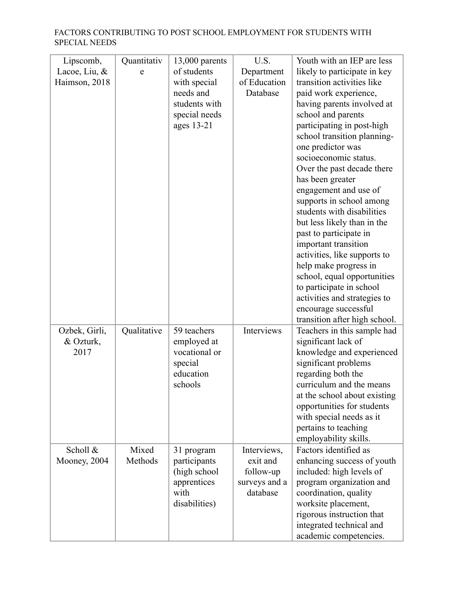| Lipscomb,<br>Lacoe, Liu, $\&$<br>Haimson, 2018 | Quantitativ<br>e | $13,000$ parents<br>of students<br>with special<br>needs and<br>students with<br>special needs<br>ages 13-21 | U.S.<br>Department<br>of Education<br>Database                    | Youth with an IEP are less<br>likely to participate in key<br>transition activities like<br>paid work experience,<br>having parents involved at<br>school and parents<br>participating in post-high<br>school transition planning-<br>one predictor was<br>socioeconomic status.                     |
|------------------------------------------------|------------------|--------------------------------------------------------------------------------------------------------------|-------------------------------------------------------------------|------------------------------------------------------------------------------------------------------------------------------------------------------------------------------------------------------------------------------------------------------------------------------------------------------|
|                                                |                  |                                                                                                              |                                                                   | Over the past decade there<br>has been greater<br>engagement and use of<br>supports in school among<br>students with disabilities<br>but less likely than in the<br>past to participate in<br>important transition<br>activities, like supports to                                                   |
|                                                |                  |                                                                                                              |                                                                   | help make progress in<br>school, equal opportunities<br>to participate in school<br>activities and strategies to<br>encourage successful<br>transition after high school.                                                                                                                            |
| Ozbek, Girli,<br>& Ozturk,<br>2017             | Qualitative      | 59 teachers<br>employed at<br>vocational or<br>special<br>education<br>schools                               | Interviews                                                        | Teachers in this sample had<br>significant lack of<br>knowledge and experienced<br>significant problems<br>regarding both the<br>curriculum and the means<br>at the school about existing<br>opportunities for students<br>with special needs as it<br>pertains to teaching<br>employability skills. |
| Scholl &<br>Mooney, 2004                       | Mixed<br>Methods | 31 program<br>participants<br>(high school<br>apprentices<br>with<br>disabilities)                           | Interviews,<br>exit and<br>follow-up<br>surveys and a<br>database | Factors identified as<br>enhancing success of youth<br>included: high levels of<br>program organization and<br>coordination, quality<br>worksite placement,<br>rigorous instruction that<br>integrated technical and<br>academic competencies.                                                       |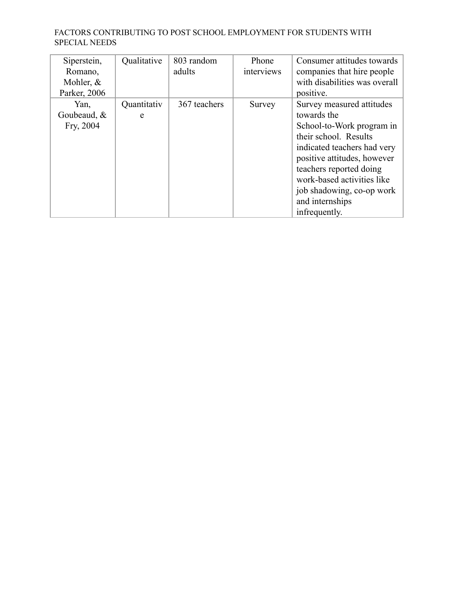| Siperstein,<br>Romano,<br>Mohler, $&$<br>Parker, 2006 | Qualitative      | 803 random<br>adults | Phone<br>interviews | Consumer attitudes towards<br>companies that hire people<br>with disabilities was overall<br>positive.                                                                                                                                                                                 |
|-------------------------------------------------------|------------------|----------------------|---------------------|----------------------------------------------------------------------------------------------------------------------------------------------------------------------------------------------------------------------------------------------------------------------------------------|
| Yan,<br>Goubeaud, $&$<br>Fry, 2004                    | Quantitativ<br>e | 367 teachers         | Survey              | Survey measured attitudes<br>towards the<br>School-to-Work program in<br>their school. Results<br>indicated teachers had very<br>positive attitudes, however<br>teachers reported doing<br>work-based activities like<br>job shadowing, co-op work<br>and internships<br>infrequently. |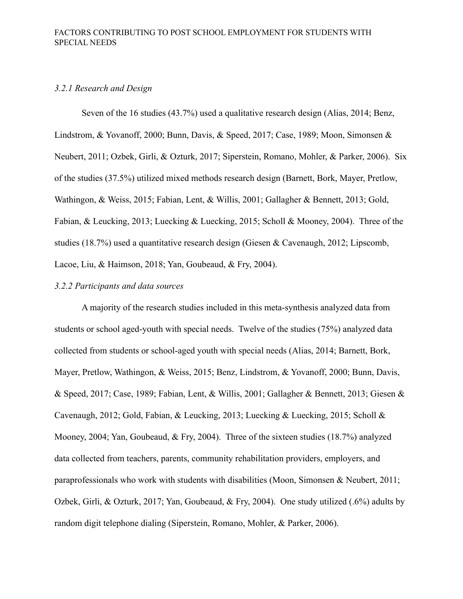## *3.2.1 Research and Design*

Seven of the 16 studies (43.7%) used a qualitative research design (Alias, 2014; Benz, Lindstrom, & Yovanoff, 2000; Bunn, Davis, & Speed, 2017; Case, 1989; Moon, Simonsen & Neubert, 2011; Ozbek, Girli, & Ozturk, 2017; Siperstein, Romano, Mohler, & Parker, 2006). Six of the studies (37.5%) utilized mixed methods research design (Barnett, Bork, Mayer, Pretlow, Wathingon, & Weiss, 2015; Fabian, Lent, & Willis, 2001; Gallagher & Bennett, 2013; Gold, Fabian, & Leucking, 2013; Luecking & Luecking, 2015; Scholl & Mooney, 2004). Three of the studies (18.7%) used a quantitative research design (Giesen & Cavenaugh, 2012; Lipscomb, Lacoe, Liu, & Haimson, 2018; Yan, Goubeaud, & Fry, 2004).

#### *3.2.2 Participants and data sources*

A majority of the research studies included in this meta-synthesis analyzed data from students or school aged-youth with special needs. Twelve of the studies (75%) analyzed data collected from students or school-aged youth with special needs (Alias, 2014; Barnett, Bork, Mayer, Pretlow, Wathingon, & Weiss, 2015; Benz, Lindstrom, & Yovanoff, 2000; Bunn, Davis, & Speed, 2017; Case, 1989; Fabian, Lent, & Willis, 2001; Gallagher & Bennett, 2013; Giesen & Cavenaugh, 2012; Gold, Fabian, & Leucking, 2013; Luecking & Luecking, 2015; Scholl & Mooney, 2004; Yan, Goubeaud, & Fry, 2004). Three of the sixteen studies (18.7%) analyzed data collected from teachers, parents, community rehabilitation providers, employers, and paraprofessionals who work with students with disabilities (Moon, Simonsen & Neubert, 2011; Ozbek, Girli, & Ozturk, 2017; Yan, Goubeaud, & Fry, 2004). One study utilized (.6%) adults by random digit telephone dialing (Siperstein, Romano, Mohler, & Parker, 2006).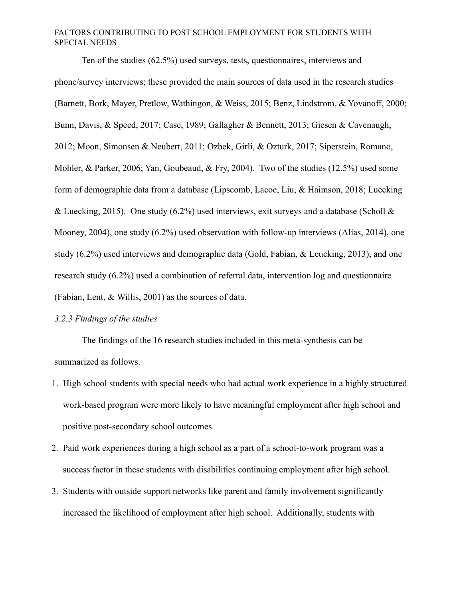Ten of the studies (62.5%) used surveys, tests, questionnaires, interviews and phone/survey interviews; these provided the main sources of data used in the research studies (Barnett, Bork, Mayer, Pretlow, Wathingon, & Weiss, 2015; Benz, Lindstrom, & Yovanoff, 2000; Bunn, Davis, & Speed, 2017; Case, 1989; Gallagher & Bennett, 2013; Giesen & Cavenaugh, 2012; Moon, Simonsen & Neubert, 2011; Ozbek, Girli, & Ozturk, 2017; Siperstein, Romano, Mohler, & Parker, 2006; Yan, Goubeaud, & Fry, 2004). Two of the studies (12.5%) used some form of demographic data from a database (Lipscomb, Lacoe, Liu, & Haimson, 2018; Luecking & Luecking, 2015). One study (6.2%) used interviews, exit surveys and a database (Scholl & Mooney, 2004), one study (6.2%) used observation with follow-up interviews (Alias, 2014), one study (6.2%) used interviews and demographic data (Gold, Fabian, & Leucking, 2013), and one research study (6.2%) used a combination of referral data, intervention log and questionnaire (Fabian, Lent, & Willis, 2001) as the sources of data.

## *3.2.3 Findings of the studies*

The findings of the 16 research studies included in this meta-synthesis can be summarized as follows.

- 1. High school students with special needs who had actual work experience in a highly structured work-based program were more likely to have meaningful employment after high school and positive post-secondary school outcomes.
- 2. Paid work experiences during a high school as a part of a school-to-work program was a success factor in these students with disabilities continuing employment after high school.
- 3. Students with outside support networks like parent and family involvement significantly increased the likelihood of employment after high school. Additionally, students with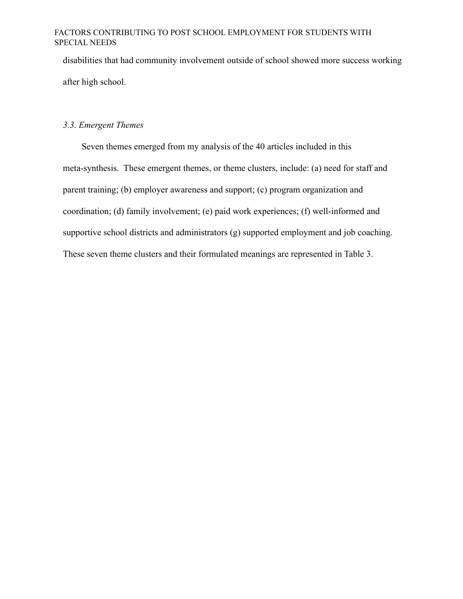disabilities that had community involvement outside of school showed more success working after high school.

#### *3.3. Emergent Themes*

Seven themes emerged from my analysis of the 40 articles included in this meta-synthesis. These emergent themes, or theme clusters, include: (a) need for staff and parent training; (b) employer awareness and support; (c) program organization and coordination; (d) family involvement; (e) paid work experiences; (f) well-informed and supportive school districts and administrators (g) supported employment and job coaching. These seven theme clusters and their formulated meanings are represented in Table 3.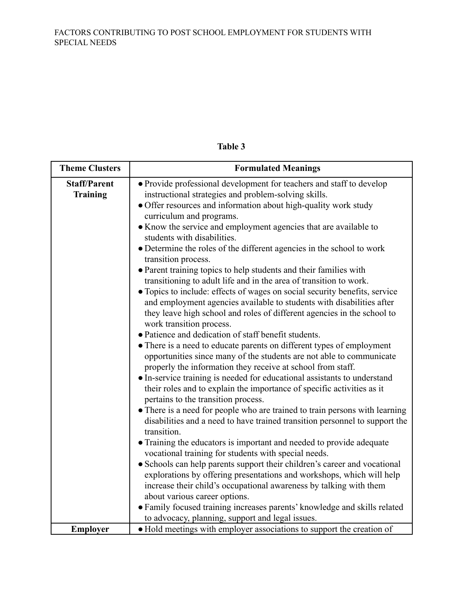| <b>Theme Clusters</b>                  | <b>Formulated Meanings</b>                                                                                                                                                                                                                                                                                                                                                                                                                                                                                                                                                                                                                                                                                                                                                                                                                                                                                                                                                                                                                                                                                                                                                                                                                                            |  |
|----------------------------------------|-----------------------------------------------------------------------------------------------------------------------------------------------------------------------------------------------------------------------------------------------------------------------------------------------------------------------------------------------------------------------------------------------------------------------------------------------------------------------------------------------------------------------------------------------------------------------------------------------------------------------------------------------------------------------------------------------------------------------------------------------------------------------------------------------------------------------------------------------------------------------------------------------------------------------------------------------------------------------------------------------------------------------------------------------------------------------------------------------------------------------------------------------------------------------------------------------------------------------------------------------------------------------|--|
| <b>Staff/Parent</b><br><b>Training</b> | • Provide professional development for teachers and staff to develop<br>instructional strategies and problem-solving skills.<br>• Offer resources and information about high-quality work study<br>curriculum and programs.<br>• Know the service and employment agencies that are available to<br>students with disabilities.<br>• Determine the roles of the different agencies in the school to work<br>transition process.<br>• Parent training topics to help students and their families with<br>transitioning to adult life and in the area of transition to work.<br>• Topics to include: effects of wages on social security benefits, service<br>and employment agencies available to students with disabilities after<br>they leave high school and roles of different agencies in the school to<br>work transition process.<br>• Patience and dedication of staff benefit students.<br>• There is a need to educate parents on different types of employment<br>opportunities since many of the students are not able to communicate<br>properly the information they receive at school from staff.<br>• In-service training is needed for educational assistants to understand<br>their roles and to explain the importance of specific activities as it |  |
|                                        | pertains to the transition process.<br>• There is a need for people who are trained to train persons with learning<br>disabilities and a need to have trained transition personnel to support the<br>transition.<br>• Training the educators is important and needed to provide adequate<br>vocational training for students with special needs.<br>• Schools can help parents support their children's career and vocational<br>explorations by offering presentations and workshops, which will help<br>increase their child's occupational awareness by talking with them<br>about various career options.<br>· Family focused training increases parents' knowledge and skills related<br>to advocacy, planning, support and legal issues.                                                                                                                                                                                                                                                                                                                                                                                                                                                                                                                        |  |
| <b>Employer</b>                        | • Hold meetings with employer associations to support the creation of                                                                                                                                                                                                                                                                                                                                                                                                                                                                                                                                                                                                                                                                                                                                                                                                                                                                                                                                                                                                                                                                                                                                                                                                 |  |

# **Table 3**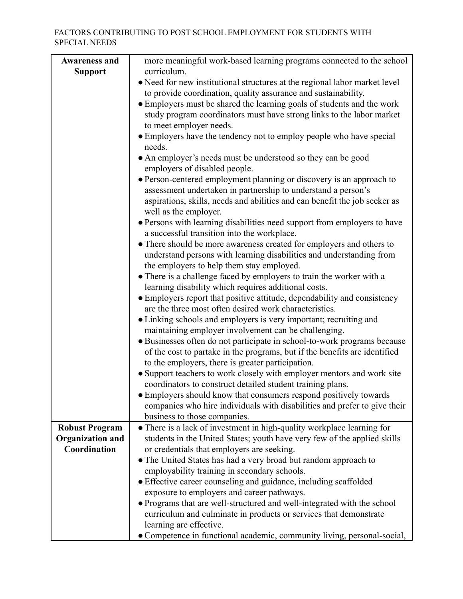| <b>Awareness and</b>    | more meaningful work-based learning programs connected to the school                                                         |  |  |  |
|-------------------------|------------------------------------------------------------------------------------------------------------------------------|--|--|--|
| <b>Support</b>          | curriculum.                                                                                                                  |  |  |  |
|                         | • Need for new institutional structures at the regional labor market level                                                   |  |  |  |
|                         | to provide coordination, quality assurance and sustainability.                                                               |  |  |  |
|                         | • Employers must be shared the learning goals of students and the work                                                       |  |  |  |
|                         | study program coordinators must have strong links to the labor market                                                        |  |  |  |
|                         | to meet employer needs.                                                                                                      |  |  |  |
|                         | • Employers have the tendency not to employ people who have special                                                          |  |  |  |
|                         | needs.                                                                                                                       |  |  |  |
|                         | • An employer's needs must be understood so they can be good                                                                 |  |  |  |
|                         | employers of disabled people.                                                                                                |  |  |  |
|                         | • Person-centered employment planning or discovery is an approach to                                                         |  |  |  |
|                         | assessment undertaken in partnership to understand a person's                                                                |  |  |  |
|                         | aspirations, skills, needs and abilities and can benefit the job seeker as                                                   |  |  |  |
|                         | well as the employer.                                                                                                        |  |  |  |
|                         | • Persons with learning disabilities need support from employers to have                                                     |  |  |  |
|                         | a successful transition into the workplace.                                                                                  |  |  |  |
|                         | • There should be more awareness created for employers and others to                                                         |  |  |  |
|                         | understand persons with learning disabilities and understanding from                                                         |  |  |  |
|                         | the employers to help them stay employed.                                                                                    |  |  |  |
|                         | • There is a challenge faced by employers to train the worker with a<br>learning disability which requires additional costs. |  |  |  |
|                         | • Employers report that positive attitude, dependability and consistency                                                     |  |  |  |
|                         | are the three most often desired work characteristics.                                                                       |  |  |  |
|                         | • Linking schools and employers is very important; recruiting and                                                            |  |  |  |
|                         | maintaining employer involvement can be challenging.                                                                         |  |  |  |
|                         | • Businesses often do not participate in school-to-work programs because                                                     |  |  |  |
|                         | of the cost to partake in the programs, but if the benefits are identified                                                   |  |  |  |
|                         | to the employers, there is greater participation.                                                                            |  |  |  |
|                         | • Support teachers to work closely with employer mentors and work site                                                       |  |  |  |
|                         | coordinators to construct detailed student training plans.                                                                   |  |  |  |
|                         | • Employers should know that consumers respond positively towards                                                            |  |  |  |
|                         | companies who hire individuals with disabilities and prefer to give their                                                    |  |  |  |
|                         | business to those companies.                                                                                                 |  |  |  |
| <b>Robust Program</b>   | • There is a lack of investment in high-quality workplace learning for                                                       |  |  |  |
| <b>Organization and</b> | students in the United States; youth have very few of the applied skills                                                     |  |  |  |
| Coordination            | or credentials that employers are seeking.                                                                                   |  |  |  |
|                         | • The United States has had a very broad but random approach to                                                              |  |  |  |
|                         | employability training in secondary schools.                                                                                 |  |  |  |
|                         | • Effective career counseling and guidance, including scaffolded                                                             |  |  |  |
|                         | exposure to employers and career pathways.                                                                                   |  |  |  |
|                         | • Programs that are well-structured and well-integrated with the school                                                      |  |  |  |
|                         | curriculum and culminate in products or services that demonstrate                                                            |  |  |  |
|                         | learning are effective.                                                                                                      |  |  |  |
|                         | • Competence in functional academic, community living, personal-social,                                                      |  |  |  |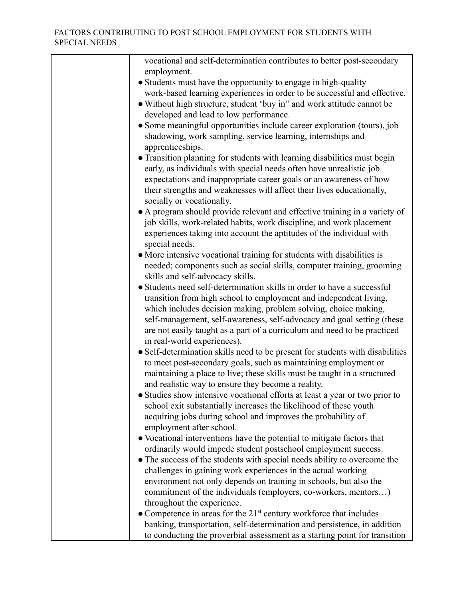| vocational and self-determination contributes to better post-secondary                 |
|----------------------------------------------------------------------------------------|
| employment.                                                                            |
| • Students must have the opportunity to engage in high-quality                         |
| work-based learning experiences in order to be successful and effective.               |
| • Without high structure, student 'buy in" and work attitude cannot be                 |
| developed and lead to low performance.                                                 |
| • Some meaningful opportunities include career exploration (tours), job                |
| shadowing, work sampling, service learning, internships and                            |
| apprenticeships.                                                                       |
| • Transition planning for students with learning disabilities must begin               |
| early, as individuals with special needs often have unrealistic job                    |
| expectations and inappropriate career goals or an awareness of how                     |
| their strengths and weaknesses will affect their lives educationally,                  |
| socially or vocationally.                                                              |
| • A program should provide relevant and effective training in a variety of             |
| job skills, work-related habits, work discipline, and work placement                   |
| experiences taking into account the aptitudes of the individual with                   |
| special needs.                                                                         |
| • More intensive vocational training for students with disabilities is                 |
| needed; components such as social skills, computer training, grooming                  |
| skills and self-advocacy skills.                                                       |
| • Students need self-determination skills in order to have a successful                |
| transition from high school to employment and independent living,                      |
| which includes decision making, problem solving, choice making,                        |
| self-management, self-awareness, self-advocacy and goal setting (these                 |
| are not easily taught as a part of a curriculum and need to be practiced               |
| in real-world experiences).                                                            |
| • Self-determination skills need to be present for students with disabilities          |
| to meet post-secondary goals, such as maintaining employment or                        |
| maintaining a place to live; these skills must be taught in a structured               |
| and realistic way to ensure they become a reality.                                     |
| • Studies show intensive vocational efforts at least a year or two prior to            |
| school exit substantially increases the likelihood of these youth                      |
| acquiring jobs during school and improves the probability of                           |
| employment after school.                                                               |
| • Vocational interventions have the potential to mitigate factors that                 |
| ordinarily would impede student postschool employment success.                         |
| • The success of the students with special needs ability to overcome the               |
| challenges in gaining work experiences in the actual working                           |
| environment not only depends on training in schools, but also the                      |
| commitment of the individuals (employers, co-workers, mentors)                         |
| throughout the experience.                                                             |
| $\bullet$ Competence in areas for the 21 <sup>st</sup> century workforce that includes |
|                                                                                        |
| banking, transportation, self-determination and persistence, in addition               |
| to conducting the proverbial assessment as a starting point for transition             |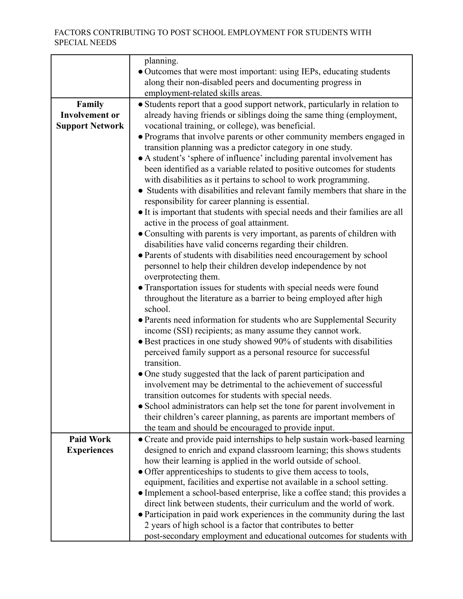| planning.                                                                                                                             |  |  |  |  |
|---------------------------------------------------------------------------------------------------------------------------------------|--|--|--|--|
| • Outcomes that were most important: using IEPs, educating students                                                                   |  |  |  |  |
| along their non-disabled peers and documenting progress in                                                                            |  |  |  |  |
| employment-related skills areas.                                                                                                      |  |  |  |  |
| • Students report that a good support network, particularly in relation to                                                            |  |  |  |  |
| already having friends or siblings doing the same thing (employment,                                                                  |  |  |  |  |
| vocational training, or college), was beneficial.                                                                                     |  |  |  |  |
| • Programs that involve parents or other community members engaged in                                                                 |  |  |  |  |
| transition planning was a predictor category in one study.                                                                            |  |  |  |  |
| • A student's 'sphere of influence' including parental involvement has                                                                |  |  |  |  |
| been identified as a variable related to positive outcomes for students                                                               |  |  |  |  |
| with disabilities as it pertains to school to work programming.                                                                       |  |  |  |  |
| • Students with disabilities and relevant family members that share in the                                                            |  |  |  |  |
| responsibility for career planning is essential.                                                                                      |  |  |  |  |
| • It is important that students with special needs and their families are all<br>active in the process of goal attainment.            |  |  |  |  |
| • Consulting with parents is very important, as parents of children with                                                              |  |  |  |  |
| disabilities have valid concerns regarding their children.                                                                            |  |  |  |  |
| • Parents of students with disabilities need encouragement by school                                                                  |  |  |  |  |
| personnel to help their children develop independence by not                                                                          |  |  |  |  |
| overprotecting them.                                                                                                                  |  |  |  |  |
| • Transportation issues for students with special needs were found                                                                    |  |  |  |  |
| throughout the literature as a barrier to being employed after high                                                                   |  |  |  |  |
| school.                                                                                                                               |  |  |  |  |
| • Parents need information for students who are Supplemental Security                                                                 |  |  |  |  |
| income (SSI) recipients; as many assume they cannot work.                                                                             |  |  |  |  |
| • Best practices in one study showed 90% of students with disabilities                                                                |  |  |  |  |
| perceived family support as a personal resource for successful                                                                        |  |  |  |  |
| transition.                                                                                                                           |  |  |  |  |
| • One study suggested that the lack of parent participation and                                                                       |  |  |  |  |
| involvement may be detrimental to the achievement of successful                                                                       |  |  |  |  |
| transition outcomes for students with special needs.                                                                                  |  |  |  |  |
| • School administrators can help set the tone for parent involvement in                                                               |  |  |  |  |
| their children's career planning, as parents are important members of                                                                 |  |  |  |  |
| the team and should be encouraged to provide input.                                                                                   |  |  |  |  |
| • Create and provide paid internships to help sustain work-based learning                                                             |  |  |  |  |
| designed to enrich and expand classroom learning; this shows students                                                                 |  |  |  |  |
| how their learning is applied in the world outside of school.                                                                         |  |  |  |  |
| • Offer apprenticeships to students to give them access to tools,                                                                     |  |  |  |  |
| equipment, facilities and expertise not available in a school setting.                                                                |  |  |  |  |
| • Implement a school-based enterprise, like a coffee stand; this provides a                                                           |  |  |  |  |
| direct link between students, their curriculum and the world of work.                                                                 |  |  |  |  |
| • Participation in paid work experiences in the community during the last                                                             |  |  |  |  |
| 2 years of high school is a factor that contributes to better<br>post-secondary employment and educational outcomes for students with |  |  |  |  |
|                                                                                                                                       |  |  |  |  |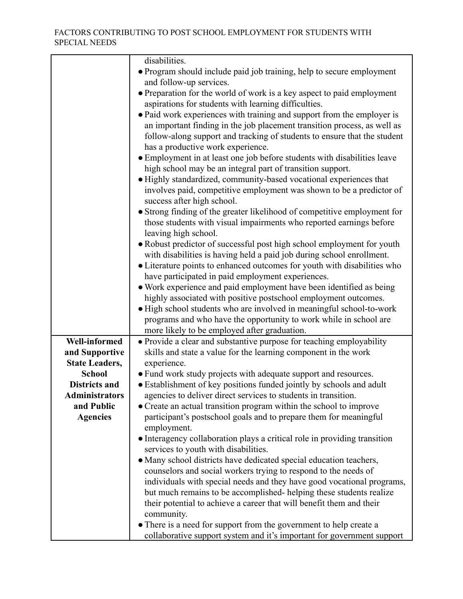|                       | disabilities.                                                             |
|-----------------------|---------------------------------------------------------------------------|
|                       | • Program should include paid job training, help to secure employment     |
|                       | and follow-up services.                                                   |
|                       | • Preparation for the world of work is a key aspect to paid employment    |
|                       | aspirations for students with learning difficulties.                      |
|                       | • Paid work experiences with training and support from the employer is    |
|                       |                                                                           |
|                       | an important finding in the job placement transition process, as well as  |
|                       | follow-along support and tracking of students to ensure that the student  |
|                       | has a productive work experience.                                         |
|                       | • Employment in at least one job before students with disabilities leave  |
|                       | high school may be an integral part of transition support.                |
|                       | · Highly standardized, community-based vocational experiences that        |
|                       | involves paid, competitive employment was shown to be a predictor of      |
|                       | success after high school.                                                |
|                       | • Strong finding of the greater likelihood of competitive employment for  |
|                       | those students with visual impairments who reported earnings before       |
|                       | leaving high school.                                                      |
|                       |                                                                           |
|                       | • Robust predictor of successful post high school employment for youth    |
|                       | with disabilities is having held a paid job during school enrollment.     |
|                       | • Literature points to enhanced outcomes for youth with disabilities who  |
|                       | have participated in paid employment experiences.                         |
|                       | • Work experience and paid employment have been identified as being       |
|                       | highly associated with positive postschool employment outcomes.           |
|                       | • High school students who are involved in meaningful school-to-work      |
|                       | programs and who have the opportunity to work while in school are         |
|                       | more likely to be employed after graduation.                              |
| <b>Well-informed</b>  | • Provide a clear and substantive purpose for teaching employability      |
|                       |                                                                           |
| and Supportive        | skills and state a value for the learning component in the work           |
| <b>State Leaders,</b> | experience.                                                               |
| <b>School</b>         | • Fund work study projects with adequate support and resources.           |
| <b>Districts and</b>  | • Establishment of key positions funded jointly by schools and adult      |
| <b>Administrators</b> | agencies to deliver direct services to students in transition.            |
| and Public            | • Create an actual transition program within the school to improve        |
| <b>Agencies</b>       | participant's postschool goals and to prepare them for meaningful         |
|                       | employment.                                                               |
|                       | • Interagency collaboration plays a critical role in providing transition |
|                       | services to youth with disabilities.                                      |
|                       | • Many school districts have dedicated special education teachers,        |
|                       | counselors and social workers trying to respond to the needs of           |
|                       | individuals with special needs and they have good vocational programs,    |
|                       |                                                                           |
|                       | but much remains to be accomplished-helping these students realize        |
|                       | their potential to achieve a career that will benefit them and their      |
|                       | community.                                                                |
|                       | • There is a need for support from the government to help create a        |
|                       | collaborative support system and it's important for government support    |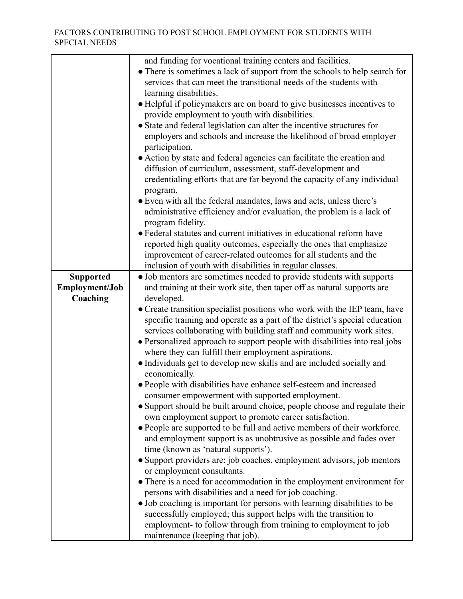|                  | and funding for vocational training centers and facilities.                 |
|------------------|-----------------------------------------------------------------------------|
|                  | • There is sometimes a lack of support from the schools to help search for  |
|                  | services that can meet the transitional needs of the students with          |
|                  |                                                                             |
|                  | learning disabilities.                                                      |
|                  | • Helpful if policymakers are on board to give businesses incentives to     |
|                  | provide employment to youth with disabilities.                              |
|                  | • State and federal legislation can alter the incentive structures for      |
|                  | employers and schools and increase the likelihood of broad employer         |
|                  |                                                                             |
|                  | participation.                                                              |
|                  | • Action by state and federal agencies can facilitate the creation and      |
|                  | diffusion of curriculum, assessment, staff-development and                  |
|                  | credentialing efforts that are far beyond the capacity of any individual    |
|                  | program.                                                                    |
|                  | • Even with all the federal mandates, laws and acts, unless there's         |
|                  |                                                                             |
|                  | administrative efficiency and/or evaluation, the problem is a lack of       |
|                  | program fidelity.                                                           |
|                  | • Federal statutes and current initiatives in educational reform have       |
|                  | reported high quality outcomes, especially the ones that emphasize          |
|                  | improvement of career-related outcomes for all students and the             |
|                  |                                                                             |
|                  | inclusion of youth with disabilities in regular classes.                    |
| <b>Supported</b> | · Job mentors are sometimes needed to provide students with supports        |
| Employment/Job   | and training at their work site, then taper off as natural supports are     |
| Coaching         | developed.                                                                  |
|                  | • Create transition specialist positions who work with the IEP team, have   |
|                  | specific training and operate as a part of the district's special education |
|                  | services collaborating with building staff and community work sites.        |
|                  |                                                                             |
|                  | • Personalized approach to support people with disabilities into real jobs  |
|                  | where they can fulfill their employment aspirations.                        |
|                  | • Individuals get to develop new skills and are included socially and       |
|                  | economically.                                                               |
|                  | • People with disabilities have enhance self-esteem and increased           |
|                  | consumer empowerment with supported employment.                             |
|                  |                                                                             |
|                  | • Support should be built around choice, people choose and regulate their   |
|                  | own employment support to promote career satisfaction.                      |
|                  | • People are supported to be full and active members of their workforce.    |
|                  | and employment support is as unobtrusive as possible and fades over         |
|                  | time (known as 'natural supports').                                         |
|                  | • Support providers are: job coaches, employment advisors, job mentors      |
|                  | or employment consultants.                                                  |
|                  |                                                                             |
|                  | • There is a need for accommodation in the employment environment for       |
|                  | persons with disabilities and a need for job coaching.                      |
|                  | • Job coaching is important for persons with learning disabilities to be    |
|                  | successfully employed; this support helps with the transition to            |
|                  | employment- to follow through from training to employment to job            |
|                  | maintenance (keeping that job).                                             |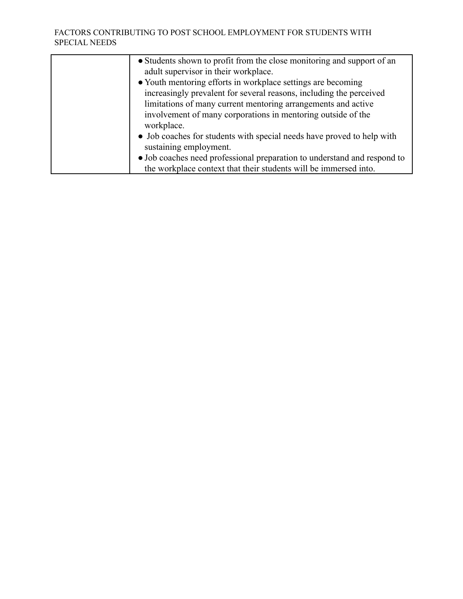| • Students shown to profit from the close monitoring and support of an<br>adult supervisor in their workplace. |
|----------------------------------------------------------------------------------------------------------------|
|                                                                                                                |
| • Youth mentoring efforts in workplace settings are becoming                                                   |
| increasingly prevalent for several reasons, including the perceived                                            |
| limitations of many current mentoring arrangements and active                                                  |
| involvement of many corporations in mentoring outside of the                                                   |
| workplace.                                                                                                     |
| • Job coaches for students with special needs have proved to help with                                         |
| sustaining employment.                                                                                         |
| • Job coaches need professional preparation to understand and respond to                                       |
| the workplace context that their students will be immersed into.                                               |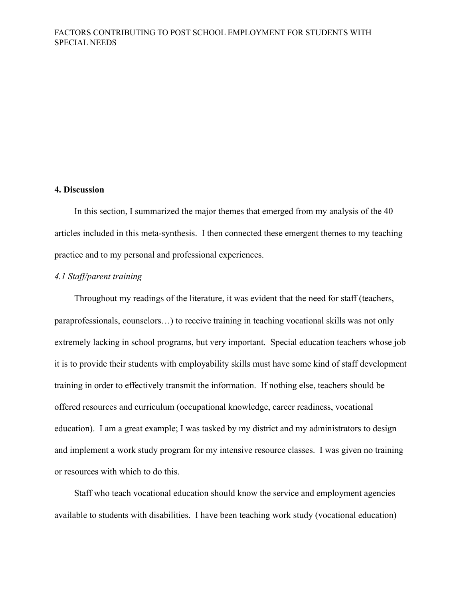#### **4. Discussion**

In this section, I summarized the major themes that emerged from my analysis of the 40 articles included in this meta-synthesis. I then connected these emergent themes to my teaching practice and to my personal and professional experiences.

# *4.1 Staff/parent training*

Throughout my readings of the literature, it was evident that the need for staff (teachers, paraprofessionals, counselors…) to receive training in teaching vocational skills was not only extremely lacking in school programs, but very important. Special education teachers whose job it is to provide their students with employability skills must have some kind of staff development training in order to effectively transmit the information. If nothing else, teachers should be offered resources and curriculum (occupational knowledge, career readiness, vocational education). I am a great example; I was tasked by my district and my administrators to design and implement a work study program for my intensive resource classes. I was given no training or resources with which to do this.

Staff who teach vocational education should know the service and employment agencies available to students with disabilities. I have been teaching work study (vocational education)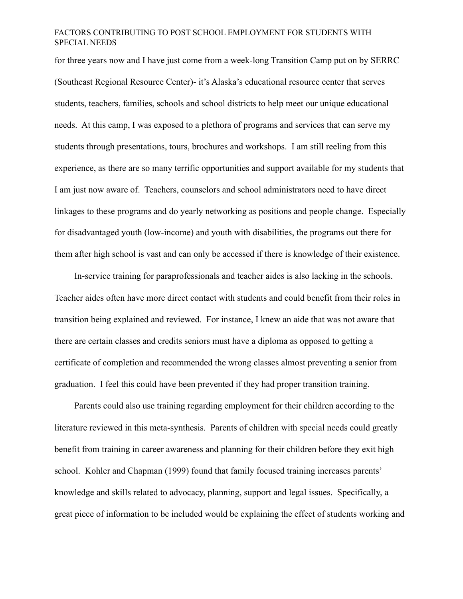for three years now and I have just come from a week-long Transition Camp put on by SERRC (Southeast Regional Resource Center)- it's Alaska's educational resource center that serves students, teachers, families, schools and school districts to help meet our unique educational needs. At this camp, I was exposed to a plethora of programs and services that can serve my students through presentations, tours, brochures and workshops. I am still reeling from this experience, as there are so many terrific opportunities and support available for my students that I am just now aware of. Teachers, counselors and school administrators need to have direct linkages to these programs and do yearly networking as positions and people change. Especially for disadvantaged youth (low-income) and youth with disabilities, the programs out there for them after high school is vast and can only be accessed if there is knowledge of their existence.

In-service training for paraprofessionals and teacher aides is also lacking in the schools. Teacher aides often have more direct contact with students and could benefit from their roles in transition being explained and reviewed. For instance, I knew an aide that was not aware that there are certain classes and credits seniors must have a diploma as opposed to getting a certificate of completion and recommended the wrong classes almost preventing a senior from graduation. I feel this could have been prevented if they had proper transition training.

Parents could also use training regarding employment for their children according to the literature reviewed in this meta-synthesis. Parents of children with special needs could greatly benefit from training in career awareness and planning for their children before they exit high school. Kohler and Chapman (1999) found that family focused training increases parents' knowledge and skills related to advocacy, planning, support and legal issues. Specifically, a great piece of information to be included would be explaining the effect of students working and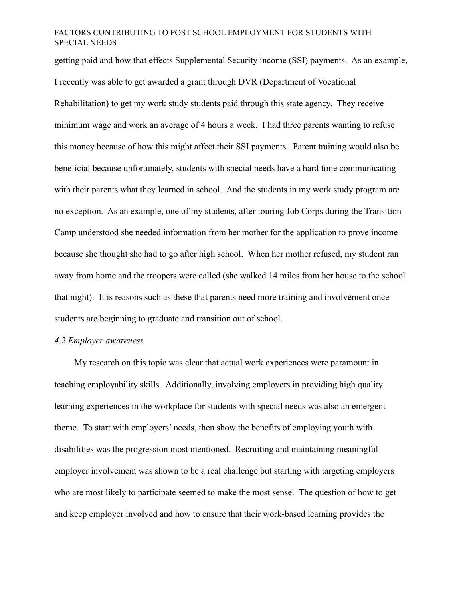getting paid and how that effects Supplemental Security income (SSI) payments. As an example, I recently was able to get awarded a grant through DVR (Department of Vocational Rehabilitation) to get my work study students paid through this state agency. They receive minimum wage and work an average of 4 hours a week. I had three parents wanting to refuse this money because of how this might affect their SSI payments. Parent training would also be beneficial because unfortunately, students with special needs have a hard time communicating with their parents what they learned in school. And the students in my work study program are no exception. As an example, one of my students, after touring Job Corps during the Transition Camp understood she needed information from her mother for the application to prove income because she thought she had to go after high school. When her mother refused, my student ran away from home and the troopers were called (she walked 14 miles from her house to the school that night). It is reasons such as these that parents need more training and involvement once students are beginning to graduate and transition out of school.

#### *4.2 Employer awareness*

My research on this topic was clear that actual work experiences were paramount in teaching employability skills. Additionally, involving employers in providing high quality learning experiences in the workplace for students with special needs was also an emergent theme. To start with employers' needs, then show the benefits of employing youth with disabilities was the progression most mentioned. Recruiting and maintaining meaningful employer involvement was shown to be a real challenge but starting with targeting employers who are most likely to participate seemed to make the most sense. The question of how to get and keep employer involved and how to ensure that their work-based learning provides the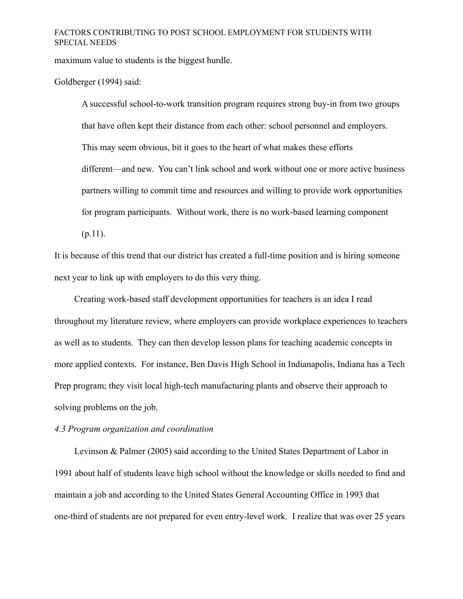maximum value to students is the biggest hurdle.

Goldberger (1994) said:

A successful school-to-work transition program requires strong buy-in from two groups that have often kept their distance from each other: school personnel and employers. This may seem obvious, bit it goes to the heart of what makes these efforts different—and new. You can't link school and work without one or more active business partners willing to commit time and resources and willing to provide work opportunities for program participants. Without work, there is no work-based learning component  $(p.11)$ .

It is because of this trend that our district has created a full-time position and is hiring someone next year to link up with employers to do this very thing.

Creating work-based staff development opportunities for teachers is an idea I read throughout my literature review, where employers can provide workplace experiences to teachers as well as to students. They can then develop lesson plans for teaching academic concepts in more applied contexts. For instance, Ben Davis High School in Indianapolis, Indiana has a Tech Prep program; they visit local high-tech manufacturing plants and observe their approach to solving problems on the job.

#### *4.3 Program organization and coordination*

Levinson & Palmer (2005) said according to the United States Department of Labor in 1991 about half of students leave high school without the knowledge or skills needed to find and maintain a job and according to the United States General Accounting Office in 1993 that one-third of students are not prepared for even entry-level work. I realize that was over 25 years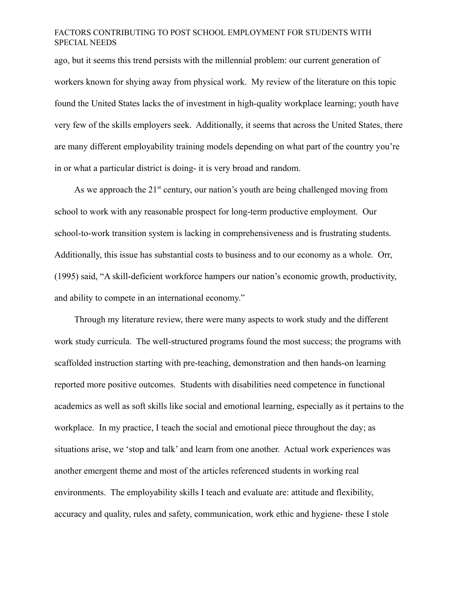ago, but it seems this trend persists with the millennial problem: our current generation of workers known for shying away from physical work. My review of the literature on this topic found the United States lacks the of investment in high-quality workplace learning; youth have very few of the skills employers seek. Additionally, it seems that across the United States, there are many different employability training models depending on what part of the country you're in or what a particular district is doing- it is very broad and random.

As we approach the  $21<sup>st</sup>$  century, our nation's youth are being challenged moving from school to work with any reasonable prospect for long-term productive employment. Our school-to-work transition system is lacking in comprehensiveness and is frustrating students. Additionally, this issue has substantial costs to business and to our economy as a whole. Orr, (1995) said, "A skill-deficient workforce hampers our nation's economic growth, productivity, and ability to compete in an international economy."

Through my literature review, there were many aspects to work study and the different work study curricula. The well-structured programs found the most success; the programs with scaffolded instruction starting with pre-teaching, demonstration and then hands-on learning reported more positive outcomes. Students with disabilities need competence in functional academics as well as soft skills like social and emotional learning, especially as it pertains to the workplace. In my practice, I teach the social and emotional piece throughout the day; as situations arise, we 'stop and talk' and learn from one another. Actual work experiences was another emergent theme and most of the articles referenced students in working real environments. The employability skills I teach and evaluate are: attitude and flexibility, accuracy and quality, rules and safety, communication, work ethic and hygiene- these I stole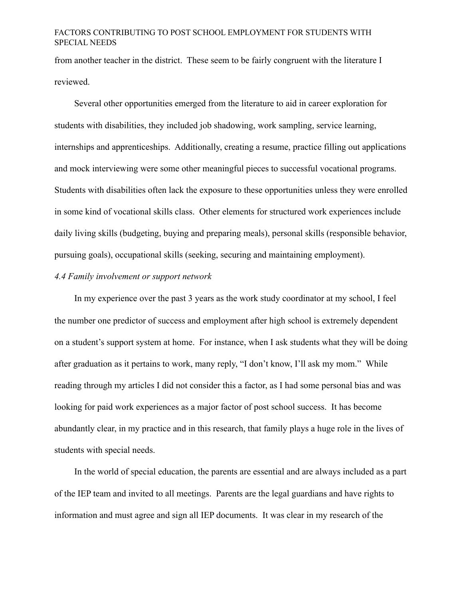from another teacher in the district. These seem to be fairly congruent with the literature I reviewed.

Several other opportunities emerged from the literature to aid in career exploration for students with disabilities, they included job shadowing, work sampling, service learning, internships and apprenticeships. Additionally, creating a resume, practice filling out applications and mock interviewing were some other meaningful pieces to successful vocational programs. Students with disabilities often lack the exposure to these opportunities unless they were enrolled in some kind of vocational skills class. Other elements for structured work experiences include daily living skills (budgeting, buying and preparing meals), personal skills (responsible behavior, pursuing goals), occupational skills (seeking, securing and maintaining employment).

# *4.4 Family involvement or support network*

In my experience over the past 3 years as the work study coordinator at my school, I feel the number one predictor of success and employment after high school is extremely dependent on a student's support system at home. For instance, when I ask students what they will be doing after graduation as it pertains to work, many reply, "I don't know, I'll ask my mom." While reading through my articles I did not consider this a factor, as I had some personal bias and was looking for paid work experiences as a major factor of post school success. It has become abundantly clear, in my practice and in this research, that family plays a huge role in the lives of students with special needs.

In the world of special education, the parents are essential and are always included as a part of the IEP team and invited to all meetings. Parents are the legal guardians and have rights to information and must agree and sign all IEP documents. It was clear in my research of the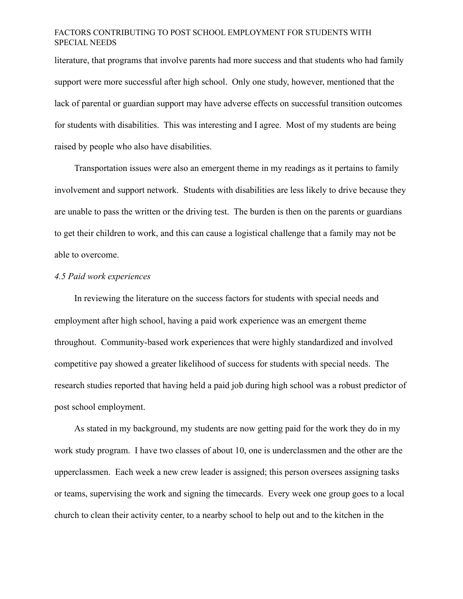literature, that programs that involve parents had more success and that students who had family support were more successful after high school. Only one study, however, mentioned that the lack of parental or guardian support may have adverse effects on successful transition outcomes for students with disabilities. This was interesting and I agree. Most of my students are being raised by people who also have disabilities.

Transportation issues were also an emergent theme in my readings as it pertains to family involvement and support network. Students with disabilities are less likely to drive because they are unable to pass the written or the driving test. The burden is then on the parents or guardians to get their children to work, and this can cause a logistical challenge that a family may not be able to overcome.

#### *4.5 Paid work experiences*

In reviewing the literature on the success factors for students with special needs and employment after high school, having a paid work experience was an emergent theme throughout. Community-based work experiences that were highly standardized and involved competitive pay showed a greater likelihood of success for students with special needs. The research studies reported that having held a paid job during high school was a robust predictor of post school employment.

As stated in my background, my students are now getting paid for the work they do in my work study program. I have two classes of about 10, one is underclassmen and the other are the upperclassmen. Each week a new crew leader is assigned; this person oversees assigning tasks or teams, supervising the work and signing the timecards. Every week one group goes to a local church to clean their activity center, to a nearby school to help out and to the kitchen in the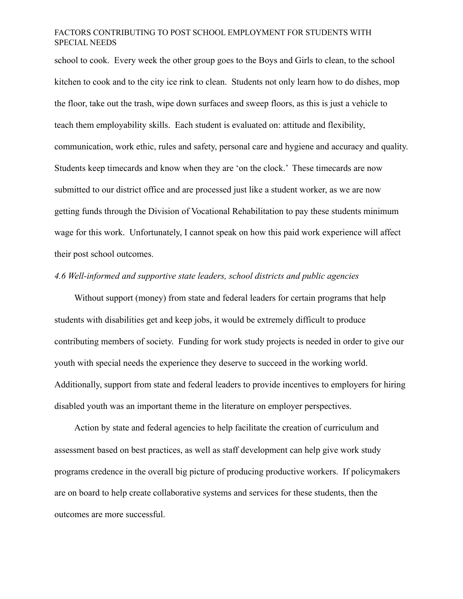school to cook. Every week the other group goes to the Boys and Girls to clean, to the school kitchen to cook and to the city ice rink to clean. Students not only learn how to do dishes, mop the floor, take out the trash, wipe down surfaces and sweep floors, as this is just a vehicle to teach them employability skills. Each student is evaluated on: attitude and flexibility, communication, work ethic, rules and safety, personal care and hygiene and accuracy and quality. Students keep timecards and know when they are 'on the clock.' These timecards are now submitted to our district office and are processed just like a student worker, as we are now getting funds through the Division of Vocational Rehabilitation to pay these students minimum wage for this work. Unfortunately, I cannot speak on how this paid work experience will affect their post school outcomes.

#### *4.6 Well-informed and supportive state leaders, school districts and public agencies*

Without support (money) from state and federal leaders for certain programs that help students with disabilities get and keep jobs, it would be extremely difficult to produce contributing members of society. Funding for work study projects is needed in order to give our youth with special needs the experience they deserve to succeed in the working world. Additionally, support from state and federal leaders to provide incentives to employers for hiring disabled youth was an important theme in the literature on employer perspectives.

Action by state and federal agencies to help facilitate the creation of curriculum and assessment based on best practices, as well as staff development can help give work study programs credence in the overall big picture of producing productive workers. If policymakers are on board to help create collaborative systems and services for these students, then the outcomes are more successful.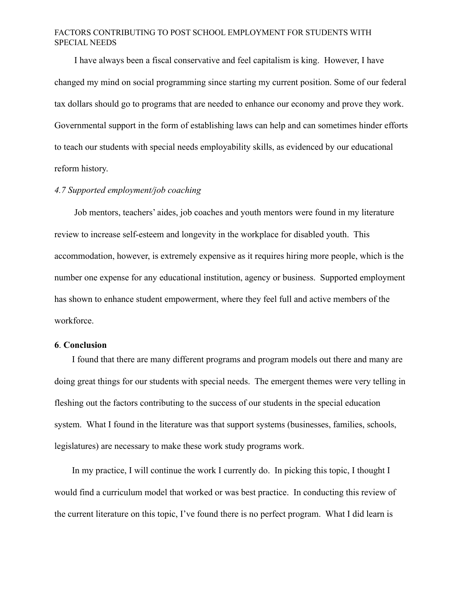I have always been a fiscal conservative and feel capitalism is king. However, I have changed my mind on social programming since starting my current position. Some of our federal tax dollars should go to programs that are needed to enhance our economy and prove they work. Governmental support in the form of establishing laws can help and can sometimes hinder efforts to teach our students with special needs employability skills, as evidenced by our educational reform history.

#### *4.7 Supported employment/job coaching*

Job mentors, teachers' aides, job coaches and youth mentors were found in my literature review to increase self-esteem and longevity in the workplace for disabled youth. This accommodation, however, is extremely expensive as it requires hiring more people, which is the number one expense for any educational institution, agency or business. Supported employment has shown to enhance student empowerment, where they feel full and active members of the workforce.

## **6**. **Conclusion**

I found that there are many different programs and program models out there and many are doing great things for our students with special needs. The emergent themes were very telling in fleshing out the factors contributing to the success of our students in the special education system. What I found in the literature was that support systems (businesses, families, schools, legislatures) are necessary to make these work study programs work.

In my practice, I will continue the work I currently do. In picking this topic, I thought I would find a curriculum model that worked or was best practice. In conducting this review of the current literature on this topic, I've found there is no perfect program. What I did learn is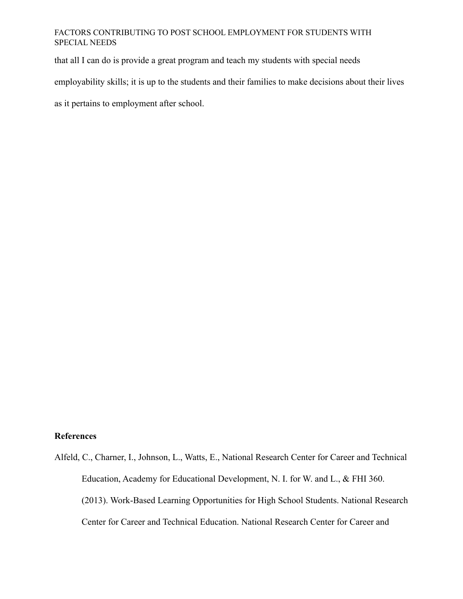that all I can do is provide a great program and teach my students with special needs

employability skills; it is up to the students and their families to make decisions about their lives

as it pertains to employment after school.

## **References**

Alfeld, C., Charner, I., Johnson, L., Watts, E., National Research Center for Career and Technical Education, Academy for Educational Development, N. I. for W. and L., & FHI 360. (2013). Work-Based Learning Opportunities for High School Students. National Research Center for Career and Technical Education. National Research Center for Career and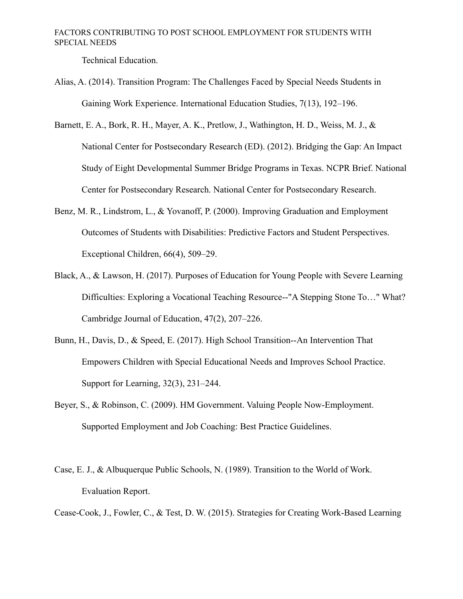Technical Education.

- Alias, A. (2014). Transition Program: The Challenges Faced by Special Needs Students in Gaining Work Experience. International Education Studies, 7(13), 192–196.
- Barnett, E. A., Bork, R. H., Mayer, A. K., Pretlow, J., Wathington, H. D., Weiss, M. J., & National Center for Postsecondary Research (ED). (2012). Bridging the Gap: An Impact Study of Eight Developmental Summer Bridge Programs in Texas. NCPR Brief. National Center for Postsecondary Research. National Center for Postsecondary Research.
- Benz, M. R., Lindstrom, L., & Yovanoff, P. (2000). Improving Graduation and Employment Outcomes of Students with Disabilities: Predictive Factors and Student Perspectives. Exceptional Children, 66(4), 509–29.
- Black, A., & Lawson, H. (2017). Purposes of Education for Young People with Severe Learning Difficulties: Exploring a Vocational Teaching Resource--"A Stepping Stone To…" What? Cambridge Journal of Education, 47(2), 207–226.
- Bunn, H., Davis, D., & Speed, E. (2017). High School Transition--An Intervention That Empowers Children with Special Educational Needs and Improves School Practice. Support for Learning, 32(3), 231–244.
- Beyer, S., & Robinson, C. (2009). HM Government. Valuing People Now-Employment. Supported Employment and Job Coaching: Best Practice Guidelines.
- Case, E. J., & Albuquerque Public Schools, N. (1989). Transition to the World of Work. Evaluation Report.
- Cease-Cook, J., Fowler, C., & Test, D. W. (2015). Strategies for Creating Work-Based Learning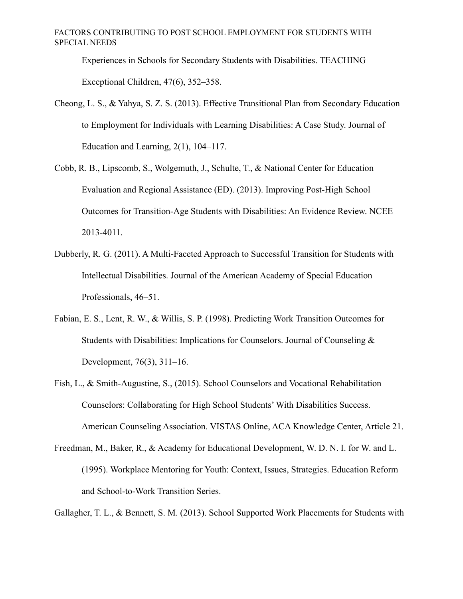Experiences in Schools for Secondary Students with Disabilities. TEACHING Exceptional Children, 47(6), 352–358.

- Cheong, L. S., & Yahya, S. Z. S. (2013). Effective Transitional Plan from Secondary Education to Employment for Individuals with Learning Disabilities: A Case Study. Journal of Education and Learning, 2(1), 104–117.
- Cobb, R. B., Lipscomb, S., Wolgemuth, J., Schulte, T., & National Center for Education Evaluation and Regional Assistance (ED). (2013). Improving Post-High School Outcomes for Transition-Age Students with Disabilities: An Evidence Review. NCEE 2013-4011.
- Dubberly, R. G. (2011). A Multi-Faceted Approach to Successful Transition for Students with Intellectual Disabilities. Journal of the American Academy of Special Education Professionals, 46–51.
- Fabian, E. S., Lent, R. W., & Willis, S. P. (1998). Predicting Work Transition Outcomes for Students with Disabilities: Implications for Counselors. Journal of Counseling & Development, 76(3), 311–16.
- Fish, L., & Smith-Augustine, S., (2015). School Counselors and Vocational Rehabilitation Counselors: Collaborating for High School Students' With Disabilities Success. American Counseling Association. VISTAS Online, ACA Knowledge Center, Article 21.
- Freedman, M., Baker, R., & Academy for Educational Development, W. D. N. I. for W. and L. (1995). Workplace Mentoring for Youth: Context, Issues, Strategies. Education Reform and School-to-Work Transition Series.

Gallagher, T. L., & Bennett, S. M. (2013). School Supported Work Placements for Students with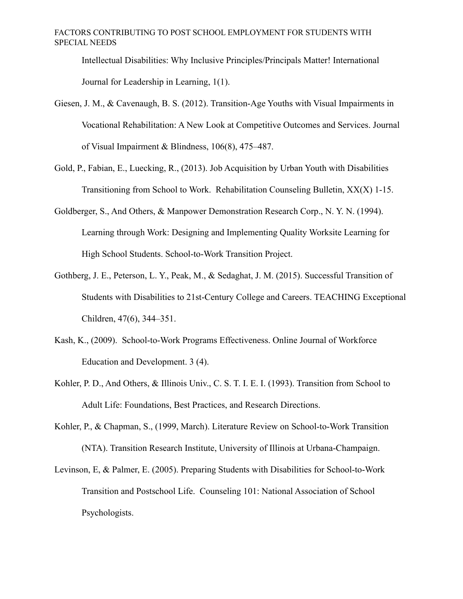Intellectual Disabilities: Why Inclusive Principles/Principals Matter! International Journal for Leadership in Learning, 1(1).

- Giesen, J. M., & Cavenaugh, B. S. (2012). Transition-Age Youths with Visual Impairments in Vocational Rehabilitation: A New Look at Competitive Outcomes and Services. Journal of Visual Impairment & Blindness, 106(8), 475–487.
- Gold, P., Fabian, E., Luecking, R., (2013). Job Acquisition by Urban Youth with Disabilities Transitioning from School to Work. Rehabilitation Counseling Bulletin, XX(X) 1-15.
- Goldberger, S., And Others, & Manpower Demonstration Research Corp., N. Y. N. (1994). Learning through Work: Designing and Implementing Quality Worksite Learning for High School Students. School-to-Work Transition Project.
- Gothberg, J. E., Peterson, L. Y., Peak, M., & Sedaghat, J. M. (2015). Successful Transition of Students with Disabilities to 21st-Century College and Careers. TEACHING Exceptional Children, 47(6), 344–351.
- Kash, K., (2009). School-to-Work Programs Effectiveness. Online Journal of Workforce Education and Development. 3 (4).
- Kohler, P. D., And Others, & Illinois Univ., C. S. T. I. E. I. (1993). Transition from School to Adult Life: Foundations, Best Practices, and Research Directions.
- Kohler, P., & Chapman, S., (1999, March). Literature Review on School-to-Work Transition (NTA). Transition Research Institute, University of Illinois at Urbana-Champaign.
- Levinson, E, & Palmer, E. (2005). Preparing Students with Disabilities for School-to-Work Transition and Postschool Life. Counseling 101: National Association of School Psychologists.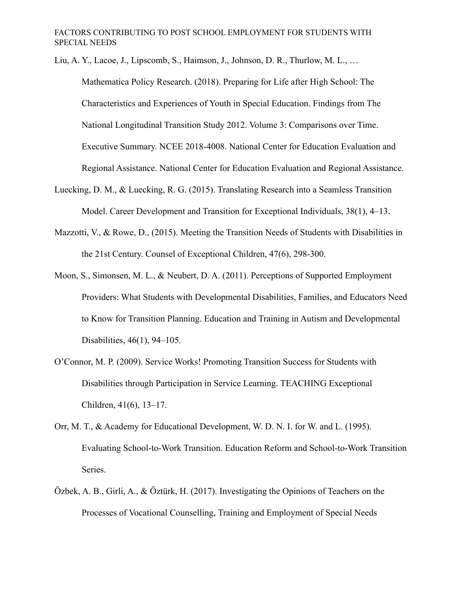Liu, A. Y., Lacoe, J., Lipscomb, S., Haimson, J., Johnson, D. R., Thurlow, M. L., … Mathematica Policy Research. (2018). Preparing for Life after High School: The Characteristics and Experiences of Youth in Special Education. Findings from The National Longitudinal Transition Study 2012. Volume 3: Comparisons over Time. Executive Summary. NCEE 2018-4008. National Center for Education Evaluation and Regional Assistance. National Center for Education Evaluation and Regional Assistance.

- Luecking, D. M., & Luecking, R. G. (2015). Translating Research into a Seamless Transition Model. Career Development and Transition for Exceptional Individuals, 38(1), 4–13.
- Mazzotti, V., & Rowe, D., (2015). Meeting the Transition Needs of Students with Disabilities in the 21st Century. Counsel of Exceptional Children, 47(6), 298-300.
- Moon, S., Simonsen, M. L., & Neubert, D. A. (2011). Perceptions of Supported Employment Providers: What Students with Developmental Disabilities, Families, and Educators Need to Know for Transition Planning. Education and Training in Autism and Developmental Disabilities, 46(1), 94–105.
- O'Connor, M. P. (2009). Service Works! Promoting Transition Success for Students with Disabilities through Participation in Service Learning. TEACHING Exceptional Children, 41(6), 13–17.
- Orr, M. T., & Academy for Educational Development, W. D. N. I. for W. and L. (1995). Evaluating School-to-Work Transition. Education Reform and School-to-Work Transition Series.
- Özbek, A. B., Girli, A., & Öztürk, H. (2017). Investigating the Opinions of Teachers on the Processes of Vocational Counselling, Training and Employment of Special Needs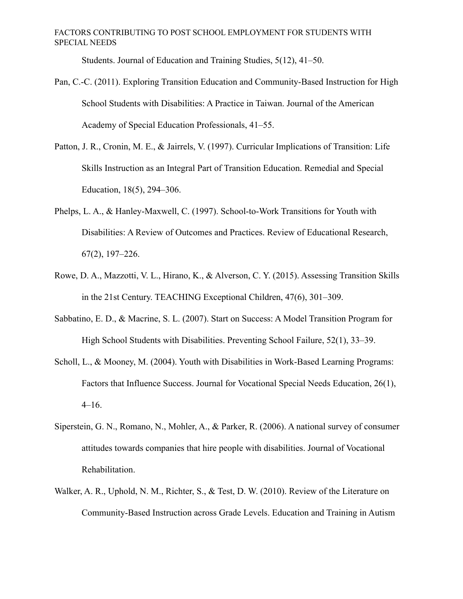Students. Journal of Education and Training Studies, 5(12), 41–50.

- Pan, C.-C. (2011). Exploring Transition Education and Community-Based Instruction for High School Students with Disabilities: A Practice in Taiwan. Journal of the American Academy of Special Education Professionals, 41–55.
- Patton, J. R., Cronin, M. E., & Jairrels, V. (1997). Curricular Implications of Transition: Life Skills Instruction as an Integral Part of Transition Education. Remedial and Special Education, 18(5), 294–306.
- Phelps, L. A., & Hanley-Maxwell, C. (1997). School-to-Work Transitions for Youth with Disabilities: A Review of Outcomes and Practices. Review of Educational Research, 67(2), 197–226.
- Rowe, D. A., Mazzotti, V. L., Hirano, K., & Alverson, C. Y. (2015). Assessing Transition Skills in the 21st Century. TEACHING Exceptional Children, 47(6), 301–309.
- Sabbatino, E. D., & Macrine, S. L. (2007). Start on Success: A Model Transition Program for High School Students with Disabilities. Preventing School Failure, 52(1), 33–39.
- Scholl, L., & Mooney, M. (2004). Youth with Disabilities in Work-Based Learning Programs: Factors that Influence Success. Journal for Vocational Special Needs Education, 26(1),  $4-16.$
- Siperstein, G. N., Romano, N., Mohler, A., & Parker, R. (2006). A national survey of consumer attitudes towards companies that hire people with disabilities. Journal of Vocational Rehabilitation.
- Walker, A. R., Uphold, N. M., Richter, S., & Test, D. W. (2010). Review of the Literature on Community-Based Instruction across Grade Levels. Education and Training in Autism